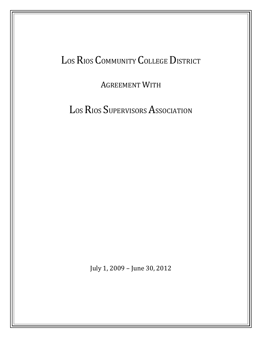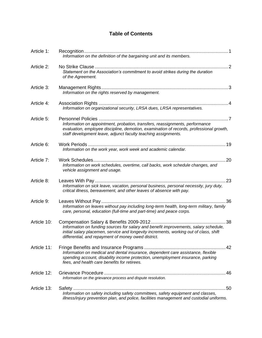# **Table of Contents**

| Article 1:  | Information on the definition of the bargaining unit and its members.                                                                                                                                                                       |
|-------------|---------------------------------------------------------------------------------------------------------------------------------------------------------------------------------------------------------------------------------------------|
| Article 2:  | Statement on the Association's commitment to avoid strikes during the duration<br>of the Agreement.                                                                                                                                         |
| Article 3:  | Information on the rights reserved by management.                                                                                                                                                                                           |
| Article 4:  | Information on organizational security, LRSA dues, LRSA representatives.                                                                                                                                                                    |
| Article 5:  | Information on appointment, probation, transfers, reassignments, performance<br>evaluation, employee discipline, demotion, examination of records, professional growth,<br>staff development leave, adjunct faculty teaching assignments.   |
| Article 6:  | Information on the work year, work week and academic calendar.                                                                                                                                                                              |
| Article 7:  | .20<br>Information on work schedules, overtime, call backs, work schedule changes, and<br>vehicle assignment and usage.                                                                                                                     |
| Article 8:  | 23<br>Information on sick leave, vacation, personal business, personal necessity, jury duty,<br>critical illness, bereavement, and other leaves of absence with pay.                                                                        |
| Article 9:  | 36                                                                                                                                                                                                                                          |
|             | Information on leaves without pay including long-term health, long-term military, family<br>care, personal, education (full-time and part-time) and peace corps.                                                                            |
| Article 10: | 38<br>Information on funding sources for salary and benefit improvements, salary schedule,<br>initial salary placemen, service and longevity increments, working out of class, shift<br>differential, and repayment of money owed district. |
| Article 11: | . 42<br>Information on medical and dental insurance, dependent care assistance, flexible<br>spending account, disability income protection, unemployment insurance, parking<br>fees, and health care benefits for retirees.                 |
| Article 12: | Information on the grievance process and dispute resolution.                                                                                                                                                                                |
| Article 13: | 50<br>Information on safety including safety committees, safety equipment and classes,<br>illness/injury prevention plan, and police, facilities management and custodial uniforms.                                                         |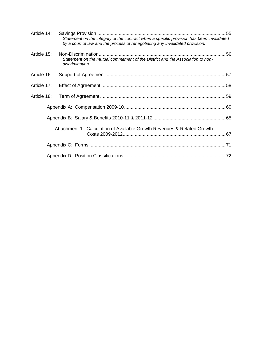| Article 14: |  |                                                                                                                                                                            |  |
|-------------|--|----------------------------------------------------------------------------------------------------------------------------------------------------------------------------|--|
|             |  | Statement on the integrity of the contract when a specific provision has been invalidated<br>by a court of law and the process of renegotiating any invalidated provision. |  |
| Article 15: |  | Statement on the mutual commitment of the District and the Association to non-<br>discrimination.                                                                          |  |
| Article 16: |  |                                                                                                                                                                            |  |
| Article 17: |  |                                                                                                                                                                            |  |
| Article 18: |  |                                                                                                                                                                            |  |
|             |  |                                                                                                                                                                            |  |
|             |  |                                                                                                                                                                            |  |
|             |  | Attachment 1: Calculation of Available Growth Revenues & Related Growth                                                                                                    |  |
|             |  |                                                                                                                                                                            |  |
|             |  |                                                                                                                                                                            |  |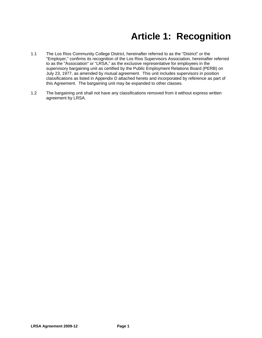# **Article 1: Recognition**

- <span id="page-3-0"></span>1.1 The Los Rios Community College District, hereinafter referred to as the "District" or the "Employer," confirms its recognition of the Los Rios Supervisors Association, hereinafter referred to as the "Association" or "LRSA," as the exclusive representative for employees in the supervisory bargaining unit as certified by the Public Employment Relations Board (PERB) on July 23, 1977, as amended by mutual agreement. This unit includes supervisors in position classifications as listed in Appendix D attached hereto and incorporated by reference as part of this Agreement. The bargaining unit may be expanded to other classes.
- 1.2 The bargaining unit shall not have any classifications removed from it without express written agreement by LRSA.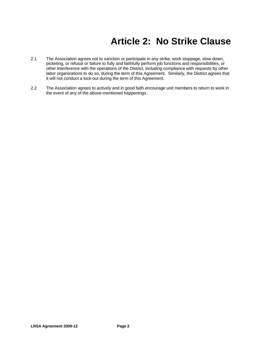# **Article 2: No Strike Clause**

- <span id="page-4-0"></span>2.1 The Association agrees not to sanction or participate in any strike, work stoppage, slow-down, picketing, or refusal or failure to fully and faithfully perform job functions and responsibilities, or other interference with the operations of the District, including compliance with requests by other labor organizations to do so, during the term of this Agreement. Similarly, the District agrees that it will not conduct a lock-out during the term of this Agreement.
- 2.2 The Association agrees to actively and in good faith encourage unit members to return to work in the event of any of the above-mentioned happenings.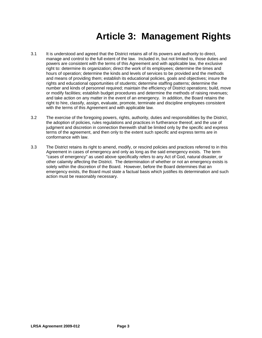# **Article 3: Management Rights**

- <span id="page-5-0"></span>3.1 It is understood and agreed that the District retains all of its powers and authority to direct, manage and control to the full extent of the law. Included in, but not limited to, those duties and powers are consistent with the terms of this Agreement and with applicable law, the exclusive right to: determine its organization; direct the work of its employees; determine the times and hours of operation; determine the kinds and levels of services to be provided and the methods and means of providing them; establish its educational policies, goals and objectives; insure the rights and educational opportunities of students; determine staffing patterns; determine the number and kinds of personnel required; maintain the efficiency of District operations; build, move or modify facilities; establish budget procedures and determine the methods of raising revenues; and take action on any matter in the event of an emergency. In addition, the Board retains the right to hire, classify, assign, evaluate, promote, terminate and discipline employees consistent with the terms of this Agreement and with applicable law.
- 3.2 The exercise of the foregoing powers, rights, authority, duties and responsibilities by the District, the adoption of policies, rules regulations and practices in furtherance thereof, and the use of judgment and discretion in connection therewith shall be limited only by the specific and express terms of the agreement, and then only to the extent such specific and express terms are in conformance with law.
- 3.3 The District retains its right to amend, modify, or rescind policies and practices referred to in this Agreement in cases of emergency and only as long as the said emergency exists. The term "cases of emergency" as used above specifically refers to any Act of God, natural disaster, or other calamity affecting the District. The determination of whether or not an emergency exists is solely within the discretion of the Board. However, before the Board determines that an emergency exists, the Board must state a factual basis which justifies its determination and such action must be reasonably necessary.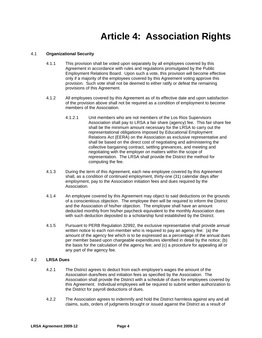# **Article 4: Association Rights**

# <span id="page-6-0"></span>4.1 **Organizational Security**

- 4.1.1 This provision shall be voted upon separately by all employees covered by this Agreement in accordance with rules and regulations promulgated by the Public Employment Relations Board. Upon such a vote, this provision will become effective only if a majority of the employees covered by this Agreement voting approve this provision. Such vote shall not be deemed to either ratify or defeat the remaining provisions of this Agreement.
- 4.1.2 All employees covered by this Agreement as of its effective date and upon satisfaction of the provision above shall not be required as a condition of employment to become members of the Association.
	- 4.1.2.1 Unit members who are not members of the Los Rios Supervisors Association shall pay to LRSA a fair share (agency) fee. This fair share fee shall be the minimum amount necessary for the LRSA to carry out the representational obligations imposed by Educational Employment Relations Act (EERA) on the Association as exclusive representative and shall be based on the direct cost of negotiating and administering the collective bargaining contract, settling grievances, and meeting and negotiating with the employer on matters within the scope of representation. The LRSA shall provide the District the method for computing the fee.
- 4.1.3 During the term of this Agreement, each new employee covered by this Agreement shall, as a condition of continued employment, thirty-one (31) calendar days after employment, pay to the Association initiation fees and dues required by the Association.
- 4.1.4 An employee covered by this Agreement may object to said deductions on the grounds of a conscientious objection. The employee then will be required to inform the District and the Association of his/her objection. The employee shall have an amount deducted monthly from his/her paycheck equivalent to the monthly Association dues with such deduction deposited to a scholarship fund established by the District.
- 4.1.5 Pursuant to PERB Regulation 32992, the exclusive representative shall provide annual written notice to each non-member who is required to pay an agency fee: (a) the amount of the agency fee which is to be expressed as a percentage of the annual dues per member based upon chargeable expenditures identified in detail by the notice; (b) the basis for the calculation of the agency fee; and (c) a procedure for appealing all or any part of the agency fee.

# 4.2 **LRSA Dues**

- 4.2.1 The District agrees to deduct from each employee's wages the amount of the Association dues/fees and initiation fees as specified by the Association. The Association shall provide the District with a schedule of dues for employees covered by this Agreement. Individual employees will be required to submit written authorization to the District for payroll deductions of dues.
- 4.2.2 The Association agrees to indemnify and hold the District harmless against any and all claims, suits, orders of judgments brought or issued against the District as a result of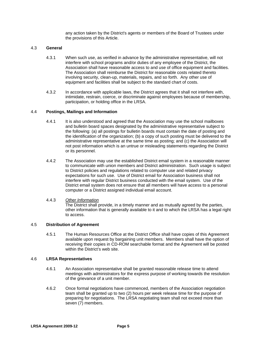any action taken by the District's agents or members of the Board of Trustees under the provisions of this Article.

#### 4.3 **General**

- 4.3.1 When such use, as verified in advance by the administrative representative, will not interfere with school programs and/or duties of any employee of the District, the Association shall have reasonable access to and use of office equipment and facilities. The Association shall reimburse the District for reasonable costs related thereto involving security, clean-up, materials, repairs, and so forth. Any other use of equipment and facilities shall be subject to the standard chart of costs.
- 4.3.2 In accordance with applicable laws, the District agrees that it shall not interfere with, intimidate, restrain, coerce, or discriminate against employees because of membership, participation, or holding office in the LRSA.

#### 4.4 **Postings, Mailings and Information**

- 4.4.1 It is also understood and agreed that the Association may use the school mailboxes and bulletin board spaces designated by the administrative representative subject to the following: (a) all postings for bulletin boards must contain the date of posting and the identification of the organization; (b) a copy of such posting must be delivered to the administrative representative at the same time as posting; and (c) the Association will not post information which is an untrue or misleading statements regarding the District or its personnel.
- 4.4.2 The Association may use the established District email system in a reasonable manner to communicate with union members and District administration. Such usage is subject to District policies and regulations related to computer use and related privacy expectations for such use. Use of District email for Association business shall not interfere with regular District business conducted with the email system. Use of the District email system does not ensure that all members will have access to a personal computer or a District assigned individual email account.

#### 4.4.3 *Other Information*

The District shall provide, in a timely manner and as mutually agreed by the parties, other information that is generally available to it and to which the LRSA has a legal right to access.

# 4.5 **Distribution of Agreement**

4.5.1 The Human Resources Office at the District Office shall have copies of this Agreement available upon request by bargaining unit members.Members shall have the option of receiving their copies in CD-ROM searchable format and the Agreement will be posted within the District's web site.

#### 4.6 **LRSA Representatives**

- 4.6.1 An Association representative shall be granted reasonable release time to attend meetings with administrators for the express purpose of working towards the resolution of the grievance of a unit member.
- 4.6.2 Once formal negotiations have commenced, members of the Association negotiation team shall be granted up to two (2) hours per week release time for the purpose of preparing for negotiations. The LRSA negotiating team shall not exceed more than seven (7) members.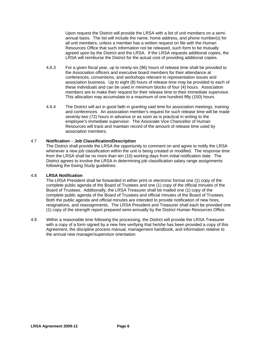Upon request the District will provide the LRSA with a list of unit members on a semiannual basis. The list will include the name, home address, and phone number(s) for all unit members, unless a member has a written request on file with the Human Resources Office that such information not be released, such form to be mutually agreed upon by the District and the LRSA. If the LRSA requests additional copies, the LRSA will reimburse the District for the actual cost of providing additional copies.

- 4.6.3 For a given fiscal year, up to ninety-six (96) hours of release time shall be provided to the Association officers and executive board members for their attendance at conferences, conventions, and workshops relevant to representation issues and association business. Up to eight (8) hours of release time may be provided to each of these individuals and can be used in minimum blocks of four (4) hours. Association members are to make their request for their release time to their immediate supervisor. This allocation may accumulate to a maximum of one hundred fifty (150) hours.
- 4.6.4 The District will act in good faith in granting said time for association meetings, training and conferences. An association member's request for such release time will be made seventy-two (72) hours in advance or as soon as is practical in writing to the employee's immediate supervisor. The Associate Vice Chancellor of Human Resources will track and maintain record of the amount of release time used by association members.

# 4.7 **Notification** *–* **Job Classification/Description**

The District shall provide the LRSA the opportunity to comment on and agree to notify the LRSA whenever a new job classification within the unit is being created or modified. The response time from the LRSA shall be no more than ten (10) working days from initial notification date. The District agrees to involve the LRSA in determining job classification salary range assignments following the Ewing Study guidelines.

# 4.8 **LRSA Notification**

The LRSA President shall be forwarded in either print or electronic format one (1) copy of the complete public agenda of the Board of Trustees and one (1) copy of the official minutes of the Board of Trustees. Additionally, the LRSA Treasurer shall be mailed one (1) copy of the complete public agenda of the Board of Trustees and official minutes of the Board of Trustees. Both the public agenda and official minutes are intended to provide notification of new hires, resignations, and reassignments. The LRSA President and Treasurer shall each be provided one (1) copy of the strength report prepared semi-annually by the District Human Resources Office.

4.9 Within a reasonable time following the processing, the District will provide the LRSA Treasurer with a copy of a form signed by a new hire verifying that he/she has been provided a copy of this Agreement, the discipline process manual, management handbook, and information relative to the annual new manager/supervisor orientation.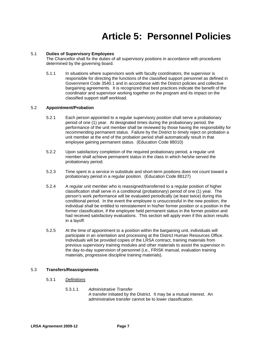# **Article 5: Personnel Policies**

# <span id="page-9-0"></span>5.1 **Duties of Supervisory Employees**

The Chancellor shall fix the duties of all supervisory positions in accordance with procedures determined by the governing board.

5.1.1 In situations where supervisors work with faculty coordinators, the supervisor is responsible for directing the functions of the classified support personnel as defined in Government Code 3540.1 and in accordance with the District policies and collective bargaining agreements. It is recognized that best practices indicate the benefit of the coordinator and supervisor working together on the program and its impact on the classified support staff workload.

# 5.2 **Appointment/Probation**

- 5.2.1 Each person appointed to a regular supervisory position shall serve a probationary period of one (1) year. At designated times during the probationary period, the performance of the unit member shall be reviewed by those having the responsibility for recommending permanent status. Failure by the District to timely reject on probation a unit member at the end of the probation period shall automatically result in that employee gaining permanent status. (Education Code 88010)
- 5.2.2 Upon satisfactory completion of the required probationary period, a regular unit member shall achieve permanent status in the class in which he/she served the probationary period.
- 5.2.3 Time spent in a service in substitute and short-term positions does not count toward a probationary period in a regular position. (Education Code 88127)
- 5.2.4 A regular unit member who is reassigned/transferred to a regular position of higher classification shall serve in a conditional (probationary) period of one (1) year. The person's work performance will be evaluated periodically (at least twice) during this conditional period. In the event the employee is unsuccessful in the new position, the individual shall be entitled to reinstatement in his/her former position or a position in the former classification, if the employee held permanent status in the former position and had received satisfactory evaluations. This section will apply even if this action results in a layoff.
- 5.2.5 At the time of appointment to a position within the bargaining unit, individuals will participate in an orientation and processing at the District Human Resources Office. Individuals will be provided copies of the LRSA contract, training materials from previous supervisory training modules and other materials to assist the supervisor in the day-to-day supervision of personnel (i.e., FRISK manual, evaluation training materials, progressive discipline training materials).

# 5.3 **Transfers/Reassignments**

- 5.3.1 *Definitions*
	- 5.3.1.1 *Administrative Transfer* A transfer initiated by the District. It may be a mutual interest. An administrative transfer cannot be to lower classification.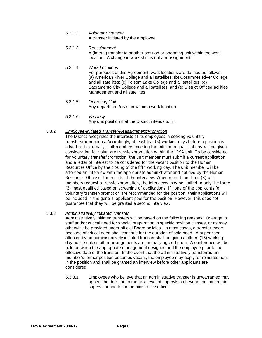- 5.3.1.2 *Voluntary Transfer* A transfer initiated by the employee.
- 5.3.1.3 *Reassignment* A (lateral) transfer to another position or operating unit within the work location. A change in work shift is not a reassignment.
- 5.3.1.4 *Work Locations*  For purposes of this Agreement, work locations are defined as follows: (a) American River College and all satellites; (b) Cosumnes River College and all satellites; (c) Folsom Lake College and all satellites; (d) Sacramento City College and all satellites; and (e) District Office/Facilities Management and all satellites
- 5.3.1.5 *Operating Unit* Any department/division within a work location.
- 5.3.1.6 *Vacancy*

Any unit position that the District intends to fill.

5.3.2 *Employee-Initiated Transfer/Reassignment/Promotion*

The District recognizes the interests of its employees in seeking voluntary transfers/promotions. Accordingly, at least five (5) working days before a position is advertised externally, unit members meeting the minimum qualifications will be given consideration for voluntary transfer/promotion within the LRSA unit. To be considered for voluntary transfer/promotion, the unit member must submit a current application and a letter of interest to be considered for the vacant position to the Human Resources Office by the closing of the fifth working day. The unit member will be afforded an interview with the appropriate administrator and notified by the Human Resources Office of the results of the interview. When more than three (3) unit members request a transfer/promotion, the interviews may be limited to only the three (3) most qualified based on screening of applications. If none of the applicants for voluntary transfer/promotion are recommended for the position, their applications will be included in the general applicant pool for the position. However, this does not guarantee that they will be granted a second interview.

# 5.3.3 *Administratively Initiated Transfer*

Administratively initiated transfers will be based on the following reasons: Overage in staff and/or critical need for special preparation in specific position classes, or as may otherwise be provided under official Board policies. In most cases, a transfer made because of critical need shall continue for the duration of said need. A supervisor affected by an administratively initiated transfer shall be given a fifteen (15) working day notice unless other arrangements are mutually agreed upon. A conference will be held between the appropriate management designee and the employee prior to the effective date of the transfer. In the event that the administratively transferred unit member's former position becomes vacant, the employee may apply for reinstatement in the position and shall be granted an interview before other applicants are considered.

 5.3.3.1 Employees who believe that an administrative transfer is unwarranted may appeal the decision to the next level of supervision beyond the immediate supervisor and to the administrative officer.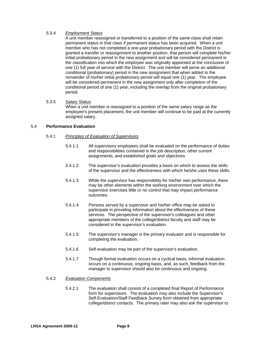# 5.3.4 *Employment Status*

A unit member reassigned or transferred to a position of the same class shall retain permanent status in that class if permanent status has been acquired. When a unit member who has not completed a one-year probationary period with the District is granted a transfer or reassignment to another position, that person will complete his/her initial probationary period in the new assignment and will be considered permanent in the classification into which the employee was originally appointed at the conclusion of one (1) full year of service with the District. The unit member will serve an additional conditional (probationary) period in the new assignment that when added to the remainder of his/her initial probationary period will equal one (1) year. The employee will be considered permanent in the new assignment only after completion of the conditional period of one (1) year, including the overlap from the original probationary period.

# 5.3.5 *Salary Status*

When a unit member is reassigned to a position of the same salary range as the employee's present placement, the unit member will continue to be paid at the currently assigned salary.

# 5.4 **Performance Evaluation**

# 5.4.1 *Principles of Evaluation of Supervisors*

- 5.4.1.1 All supervisory employees shall be evaluated on the performance of duties and responsibilities contained in the job description, other current assignments, and established goals and objectives.
- 5.4.1.2 The supervisor's evaluation provides a basis on which to assess the skills of the supervisor and the effectiveness with which he/she uses these skills.
- 5.4.1.3 While the supervisor has responsibility for his/her own performance, there may be other elements within the working environment over which the supervisor exercises little or no control that may impact performance outcomes.
- 5.4.1.4 Persons served by a supervisor and his/her office may be asked to participate in providing information about the effectiveness of these services. The perspective of the supervisor's colleagues and other appropriate members of the college/district faculty and staff may be considered in the supervisor's evaluation.
- 5.4.1.5 The supervisor's manager is the primary evaluator and is responsible for completing the evaluation.
- 5.4.1.6 Self-evaluation may be part of the supervisor's evaluation.
- 5.4.1.7 Though formal evaluation occurs on a cyclical basis, informal evaluation occurs on a continuous, ongoing basis, and, as such, feedback from the manager to supervisor should also be continuous and ongoing.

# 5.4.2 *Evaluation Components*

5.4.2.1 The evaluation shall consist of a completed final Report of Performance form for supervisors. The evaluation may also include the Supervisor's Self-Evaluation/Staff Feedback Survey form obtained from appropriate college/district contacts. The primary rater may also ask the supervisor to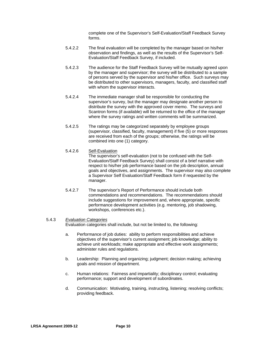complete one of the Supervisor's Self-Evaluation/Staff Feedback Survey forms.

- 5.4.2.2 The final evaluation will be completed by the manager based on his/her observation and findings, as well as the results of the Supervisor's Self-Evaluation/Staff Feedback Survey, if included.
- 5.4.2.3 The audience for the Staff Feedback Survey will be mutually agreed upon by the manager and supervisor; the survey will be distributed to a sample of persons served by the supervisor and his/her office. Such surveys may be distributed to other supervisors, managers, faculty, and classified staff with whom the supervisor interacts.
- 5.4.2.4 The immediate manager shall be responsible for conducting the supervisor's survey, but the manager may designate another person to distribute the survey with the approved cover memo. The surveys and Scantron forms (if available) will be returned to the office of the manager where the survey ratings and written comments will be summarized.
- 5.4.2.5 The ratings may be categorized separately by employee groups (supervisor, classified, faculty, management) if five (5) or more responses are received from each of the groups; otherwise, the ratings will be combined into one (1) category.
- 5.4.2.6 Self-Evaluation

The supervisor's self-evaluation (not to be confused with the Self-Evaluation/Staff Feedback Survey) shall consist of a brief narrative with respect to his/her job performance based on the job description, annual goals and objectives, and assignments. The supervisor may also complete a Supervisor Self Evaluation/Staff Feedback form if requested by the manager.

5.4.2.7 The supervisor's Report of Performance should include both commendations and recommendations. The recommendations should include suggestions for improvement and, where appropriate, specific performance development activities (e.g. mentoring, job shadowing, workshops, conferences etc.).

# 5.4.3 *Evaluation Categories*

Evaluation categories shall include, but not be limited to, the following:

- a. Performance of job duties: ability to perform responsibilities and achieve objectives of the supervisor's current assignment; job knowledge; ability to achieve unit workloads; make appropriate and effective work assignments; administer rules and regulations.
- b. Leadership: Planning and organizing; judgment; decision making; achieving goals and mission of department.
- c. Human relations: Fairness and impartiality; disciplinary control; evaluating performance; support and development of subordinates.
- d. Communication: Motivating, training, instructing, listening; resolving conflicts; providing feedback.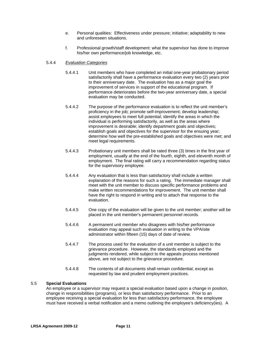- e. Personal qualities: Effectiveness under pressure; initiative; adaptability to new and unforeseen situations.
- f. Professional growth/staff development: what the supervisor has done to improve his/her own performance/job knowledge, etc.

# 5.4.4 *Evaluation Categories*

- 5.4.4.1 Unit members who have completed an initial one-year probationary period satisfactorily shall have a performance evaluation every two (2) years prior to their anniversary date. The evaluation has as a major goal the improvement of services in support of the educational program. If performance deteriorates before the two-year anniversary date, a special evaluation may be conducted.
- 5.4.4.2 The purpose of the performance evaluation is to reflect the unit member's proficiency in the job; promote self-improvement; develop leadership; assist employees to meet full potential; identify the areas in which the individual is performing satisfactorily, as well as the areas where improvement is desirable; identify department goals and objectives; establish goals and objectives for the supervisor for the ensuing year; determine how well the pre-established goals and objectives were met; and meet legal requirements.
- 5.4.4.3 Probationary unit members shall be rated three (3) times in the first year of employment, usually at the end of the fourth, eighth, and eleventh month of employment. The final rating will carry a recommendation regarding status for the supervisory employee.
- 5.4.4.4 Any evaluation that is less than satisfactory shall include a written explanation of the reasons for such a rating. The immediate manager shall meet with the unit member to discuss specific performance problems and make written recommendations for improvement. The unit member shall have the right to respond in writing and to attach that response to the evaluation.
- 5.4.4.5 One copy of the evaluation will be given to the unit member; another will be placed in the unit member's permanent personnel records.
- 5.4.4.6 A permanent unit member who disagrees with his/her performance evaluation may appeal such evaluation in writing to the VPA/site administrator within fifteen (15) days of date of review.
- 5.4.4.7 The process used for the evaluation of a unit member is subject to the grievance procedure. However, the standards employed and the judgments rendered, while subject to the appeals process mentioned above, are not subject to the grievance procedure.
- 5.4.4.8 The contents of all documents shall remain confidential, except as requested by law and prudent employment practices.

# 5.5 **Special Evaluations**

An employee or a supervisor may request a special evaluation based upon a change in position, change in responsibilities (programs), or less than satisfactory performance. Prior to an employee receiving a special evaluation for less than satisfactory performance, the employee must have received a verbal notification and a memo outlining the employee's deficiency(ies). A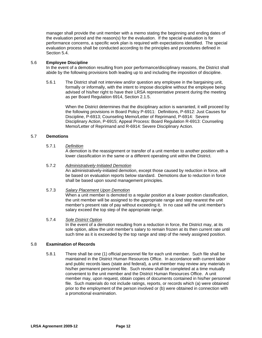manager shall provide the unit member with a memo stating the beginning and ending dates of the evaluation period and the reason(s) for the evaluation. If the special evaluation is for performance concerns, a specific work plan is required with expectations identified. The special evaluation process shall be conducted according to the principles and procedures defined in Section 5.4.

# 5.6 **Employee Discipline**

In the event of a demotion resulting from poor performance/disciplinary reasons, the District shall abide by the following provisions both leading up to and including the imposition of discipline.

5.6.1 The District shall not interview and/or question any employee in the bargaining unit, formally or informally, with the intent to impose discipline without the employee being advised of his/her right to have their LRSA representative present during the meeting as per Board Regulation 6914, Section 2.1.5.

> When the District determines that the disciplinary action is warranted, it will proceed by the following provisions in Board Policy P-6911: Definitions, P-6912: Just Causes for Discipline, P-6913; Counseling Memo/Letter of Reprimand, P-6914: Severe Disciplinary Action, P-6915; Appeal Process: Board Regulation R-6913: Counseling Memo/Letter of Reprimand and R-6914: Severe Disciplinary Action.

# 5.7 **Demotions**

# 5.7.1 *Definition*

A demotion is the reassignment or transfer of a unit member to another position with a lower classification in the same or a different operating unit within the District.

# 5.7.2 *Administratively-Initiated Demotion*

An administratively-initiated demotion, except those caused by reduction in force, will be based on evaluation reports below standard. Demotions due to reduction in force shall be based upon sound management principles.

# 5.7.3 *Salary Placement Upon Demotion*

When a unit member is demoted to a regular position at a lower position classification, the unit member will be assigned to the appropriate range and step nearest the unit member's present rate of pay without exceeding it. In no case will the unit member's salary exceed the top step of the appropriate range.

# 5.7.4 *Sole District Option*

In the event of a demotion resulting from a reduction in force, the District may, at its sole option, allow the unit member's salary to remain frozen at its then current rate until such time as it is exceeded by the top range and step of the newly assigned position.

# 5.8 **Examination of Records**

5.8.1 There shall be one (1) official personnel file for each unit member. Such file shall be maintained in the District Human Resources Office. In accordance with current labor and public records laws (state and federal), a unit member may review any materials in his/her permanent personnel file. Such review shall be completed at a time mutually convenient to the unit member and the District Human Resources Office. A unit member may, upon request, obtain copies of documents contained in his/her personnel file.Such materials do not include ratings, reports, or records which (a) were obtained prior to the employment of the person involved or (b) were obtained in connection with a promotional examination.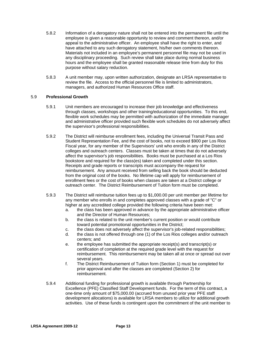- 5.8.2 Information of a derogatory nature shall not be entered into the permanent file until the employee is given a reasonable opportunity to review and comment thereon, and/or appeal to the administrative officer. An employee shall have the right to enter, and have attached to any such derogatory statement, his/her own comments thereon. Materials not included in an employee's permanent personnel file may not be used in any disciplinary proceeding. Such review shall take place during normal business hours and the employee shall be granted reasonable release time from duty for this purpose without salary reduction.
- 5.8.3 A unit member may, upon written authorization, designate an LRSA representative to review the file. Access to the official personnel file is limited to administrators, managers, and authorized Human Resources Office staff.

# 5.9 **Professional Growth**

- 5.9.1 Unit members are encouraged to increase their job knowledge and effectiveness through classes, workshops and other training/educational opportunities. To this end, flexible work schedules may be permitted with authorization of the immediate manager and administrative officer provided such flexible work schedules do not adversely affect the supervisor's professional responsibilities.
- 5.9.2 The District will reimburse enrollment fees, including the Universal Transit Pass and Student Representation Fee, and the cost of books, not to exceed \$900 per Los Rios Fiscal year, for any member of the Supervisors' unit who enrolls in any of the District colleges and outreach centers. Classes must be taken at times that do not adversely affect the supervisor's job responsibilities. Books must be purchased at a Los Rios bookstore and required for the class(es) taken and completed under this section. Receipts and grade reports or transcripts must accompany the request for reimbursement. Any amount received from selling back the book should be deducted from the original cost of the books. No lifetime cap will apply for reimbursement of enrollment fees or the cost of books when classes are taken at a District college or outreach center. The District Reimbursement of Tuition form must be completed.
- 5.9.3 The District will reimburse tuition fees up to \$1,000.00 per unit member per lifetime for any member who enrolls in and completes approved classes with a grade of "C" or higher at any accredited college provided the following criteria have been met:
	- a. the class has been approved in advance by the appropriate administrative officer and the Director of Human Resources;
	- b. the class is related to the unit member's current position or would contribute toward potential promotional opportunities in the District;
	- c. the class does not adversely affect the supervisor's job-related responsibilities;
	- d. the class is not offered through one (1) of the Los Rios colleges and/or outreach centers; and
	- e. the employee has submitted the appropriate receipt(s) and transcript(s) or certification of completion at the required grade level with the request for reimbursement. This reimbursement may be taken all at once or spread out over several years.
	- f. The District Reimbursement of Tuition form (Section 1) must be completed for prior approval and after the classes are completed (Section 2) for reimbursement.
- 5.9.4 Additional funding for professional growth is available through Partnership for Excellence (PFE) Classified Staff Development funds. For the term of this contract, a one-time only amount of \$75,000.00 (accrued from unused prior year PFE staff development allocations) is available for LRSA members to utilize for additional growth activities. Use of these funds is contingent upon the commitment of the unit member to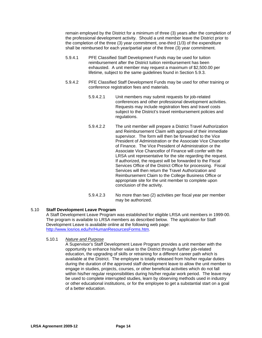remain employed by the District for a minimum of three (3) years after the completion of the professional development activity. Should a unit member leave the District prior to the completion of the three (3) year commitment, one-third (1/3) of the expenditure shall be reimbursed for each year/partial year of the three (3) year commitment.

- 5.9.4.1 PFE Classified Staff Development Funds may be used for tuition reimbursement after the District tuition reimbursement has been exhausted. A unit member may request a maximum of \$2,500.00 per lifetime, subject to the same guidelines found in Section 5.9.3.
- 5.9.4.2 PFE Classified Staff Development Funds may be used for other training or conference registration fees and materials.
	- 5.9.4.2.1 Unit members may submit requests for job-related conferences and other professional development activities. Requests may include registration fees and travel costs subject to the District's travel reimbursement policies and regulations.
	- 5.9.4.2.2 The unit member will prepare a District Travel Authorization and Reimbursement Claim with approval of their immediate supervisor. The form will then be forwarded to the Vice President of Administration or the Associate Vice Chancellor of Finance. The Vice President of Administration or the Associate Vice Chancellor of Finance will confer with the LRSA unit representative for the site regarding the request. If authorized, the request will be forwarded to the Fiscal Services Office of the District Office for processing. Fiscal Services will then return the Travel Authorization and Reimbursement Claim to the College Business Office or appropriate site for the unit member to complete upon conclusion of the activity.
	- 5.9.4.2.3 No more than two (2) activities per fiscal year per member may be authorized.

# 5.10 **Staff Development Leave Program**

A Staff Development Leave Program was established for eligible LRSA unit members in 1999-00. The program is available to LRSA members as described below. The application for Staff Development Leave is available online at the following web page: http://www.losrios.edu/hr/HumanResourcesForms.htm.

# 5.10.1 *Nature and Purpose*

 A Supervisor's Staff Development Leave Program provides a unit member with the opportunity to enhance his/her value to the District through further job-related education, the upgrading of skills or retraining for a different career path which is available at the District. The employee is totally released from his/her regular duties during the duration of the approved staff development leave to allow the unit member to engage in studies, projects, courses, or other beneficial activities which do not fall within his/her regular responsibilities during his/her regular work period. The leave may be used to complete interrupted studies, learn by observing methods used in industry or other educational institutions, or for the employee to get a substantial start on a goal of a better education.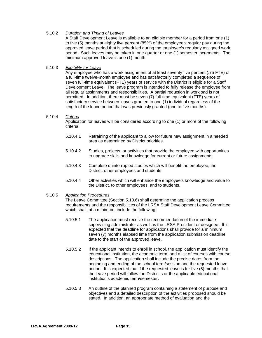# 5.10.2 *Duration and Timing of Leaves*

A Staff Development Leave is available to an eligible member for a period from one (1) to five (5) months at eighty five percent (85%) of the employee's regular pay during the approved leave period that is scheduled during the employee's regularly assigned work period. Such leaves may be taken in one-quarter or one (1) semester increments. The minimum approved leave is one (1) month.

# 5.10.3 *Eligibility for Leave*

 Any employee who has a work assignment of at least seventy five percent (.75 FTE) of a full-time twelve-month employee and has satisfactorily completed a sequence of seven full-time equivalent (FTE) years of service with the District is eligible for a Staff Development Leave. The leave program is intended to fully release the employee from all regular assignments and responsibilities. A partial reduction in workload is not permitted. In addition, there must be seven (7) full-time equivalent (FTE) years of satisfactory service between leaves granted to one (1) individual regardless of the length of the leave period that was previously granted (one to five months).

# 5.10.4 *Criteria*

 Application for leaves will be considered according to one (1) or more of the following criteria:

- 5.10.4.1 Retraining of the applicant to allow for future new assignment in a needed area as determined by District priorities.
- 5.10.4.2 Studies, projects, or activities that provide the employee with opportunities to upgrade skills and knowledge for current or future assignments.
- 5.10.4.3 Complete uninterrupted studies which will benefit the employee, the District, other employees and students.
- 5.10.4.4 Other activities which will enhance the employee's knowledge and value to the District, to other employees, and to students.
- 5.10.5 *Application Procedures*

The Leave Committee (Section 5.10.6) shall determine the application process requirements and the responsibilities of the LRSA Staff Development Leave Committee which shall, at a minimum, include the following:

- 5.10.5.1 The application must receive the recommendation of the immediate supervising administrator as well as the LRSA President or designee. It is expected that the deadline for applications shall provide for a minimum seven (7) months elapsed time from the application submission deadline date to the start of the approved leave.
- 5.10.5.2 If the applicant intends to enroll in school, the application must identify the educational institution, the academic term, and a list of courses with course descriptions. The application shall include the precise dates from the beginning and ending of the school term/session and the requested leave period. It is expected that if the requested leave is for five (5) months that the leave period will follow the District's or the applicable educational institution's academic term/semester.
- 5.10.5.3 An outline of the planned program containing a statement of purpose and objectives and a detailed description of the activities proposed should be stated. In addition, an appropriate method of evaluation and the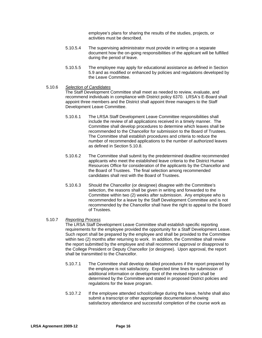employee's plans for sharing the results of the studies, projects, or activities must be described.

- 5.10.5.4 The supervising administrator must provide in writing on a separate document how the on-going responsibilities of the applicant will be fulfilled during the period of leave.
- 5.10.5.5 The employee may apply for educational assistance as defined in Section 5.9 and as modified or enhanced by policies and regulations developed by the Leave Committee.
- 5.10.6 *Selection of Candidates*

The Staff Development Committee shall meet as needed to review, evaluate, and recommend individuals in compliance with District policy 6370. LRSA's E-Board shall appoint three members and the District shall appoint three managers to the Staff Development Leave Committee.

- 5.10.6.1 The LRSA Staff Development Leave Committee responsibilities shall include the review of all applications received in a timely manner. The Committee shall develop procedures to determine which leaves shall be recommended to the Chancellor for submission to the Board of Trustees. The Committee shall establish procedures and criteria to reduce the number of recommended applications to the number of authorized leaves as defined in Section 5.10.8.
- 5.10.6.2 The Committee shall submit by the predetermined deadline recommended applicants who meet the established leave criteria to the District Human Resources Office for consideration of the applicants by the Chancellor and the Board of Trustees. The final selection among recommended candidates shall rest with the Board of Trustees.
- 5.10.6.3 Should the Chancellor (or designee) disagree with the Committee's selection, the reasons shall be given in writing and forwarded to the Committee within two (2) weeks after submission. Any employee who is recommended for a leave by the Staff Development Committee and is not recommended by the Chancellor shall have the right to appeal to the Board of Trustees.

# 5.10.7 *Reporting Process*

The LRSA Staff Development Leave Committee shall establish specific reporting requirements for the employee provided the opportunity for a Staff Development Leave. Such report shall be prepared by the employee and shall be provided to the Committee within two (2) months after returning to work. In addition, the Committee shall review the report submitted by the employee and shall recommend approval or disapproval to the College President or Deputy Chancellor (or designee). Upon approval, the report shall be transmitted to the Chancellor.

- 5.10.7.1 The Committee shall develop detailed procedures if the report prepared by the employee is not satisfactory. Expected time lines for submission of additional information or development of the revised report shall be determined by the Committee and stated in proposed District policies and regulations for the leave program.
- 5.10.7.2 If the employee attended school/college during the leave, he/she shall also submit a transcript or other appropriate documentation showing satisfactory attendance and successful completion of the course work as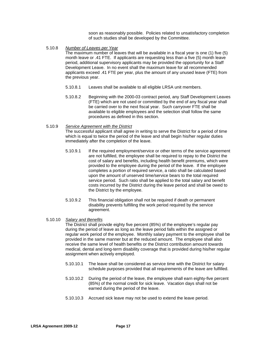soon as reasonably possible. Policies related to unsatisfactory completion of such studies shall be developed by the Committee.

5.10.8 *Number of Leaves per Year*

The maximum number of leaves that will be available in a fiscal year is one (1) five (5) month leave or .41 FTE. If applicants are requesting less than a five (5) month leave period, additional supervisory applicants may be provided the opportunity for a Staff Development Leave. In no event shall the maximum leave for all recommended applicants exceed .41 FTE per year, plus the amount of any unused leave (FTE) from the previous year.

- 5.10.8.1 Leaves shall be available to all eligible LRSA unit members.
- 5.10.8.2 Beginning with the 2000-03 contract period, any Staff Development Leaves (FTE) which are not used or committed by the end of any fiscal year shall be carried over to the next fiscal year. Such carryover FTE shall be available to eligible employees and the selection shall follow the same procedures as defined in this section.
- 5.10.9 *Service Agreement with the District* The successful applicant shall agree in writing to serve the District for a period of time which is equal to twice the period of the leave and shall begin his/her regular duties immediately after the completion of the leave.
	- 5.10.9.1 If the required employment/service or other terms of the service agreement are not fulfilled, the employee shall be required to repay to the District the cost of salary and benefits, including health benefit premiums, which were provided to the employee during the period of the leave. If the employee completes a portion of required service, a ratio shall be calculated based upon the amount of unserved time/service bears to the total required service period. Such ratio shall be applied to the total salary and benefit costs incurred by the District during the leave period and shall be owed to the District by the employee.
	- 5.10.9.2 This financial obligation shall not be required if death or permanent disability prevents fulfilling the work period required by the service agreement.
- 5.10.10 *Salary and Benefits*

The District shall provide eighty five percent (85%) of the employee's regular pay during the period of leave as long as the leave period falls within the assigned or regular work period of the employee. Monthly salary payment to the employee shall be provided in the same manner but at the reduced amount. The employee shall also receive the same level of health benefits or the District contribution amount towards medical, dental and long-term disability coverage that is provided during his/her regular assignment when actively employed.

- 5.10.10.1 The leave shall be considered as service time with the District for salary schedule purposes provided that all requirements of the leave are fulfilled.
- 5.10.10.2 During the period of the leave, the employee shall earn eighty-five percent (85%) of the normal credit for sick leave. Vacation days shall not be earned during the period of the leave.
- 5.10.10.3 Accrued sick leave may not be used to extend the leave period.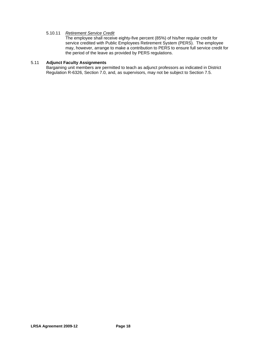# 5.10.11 *Retirement Service Credit*

The employee shall receive eighty-five percent (85%) of his/her regular credit for service credited with Public Employees Retirement System (PERS). The employee may, however, arrange to make a contribution to PERS to ensure full service credit for the period of the leave as provided by PERS regulations.

# 5.11 **Adjunct Faculty Assignments**

Bargaining unit members are permitted to teach as adjunct professors as indicated in District Regulation R-6326, Section 7.0, and, as supervisors, may not be subject to Section 7.5.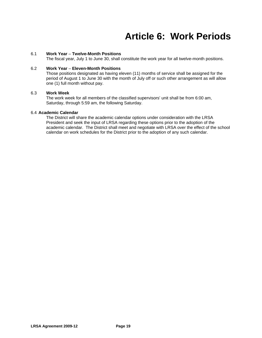# **Article 6: Work Periods**

# <span id="page-21-0"></span>6.1 **Work Year** *–* **Twelve-Month Positions**

The fiscal year, July 1 to June 30, shall constitute the work year for all twelve-month positions.

# 6.2 **Work Year** *–* **Eleven-Month Positions**

Those positions designated as having eleven (11) months of service shall be assigned for the period of August 1 to June 30 with the month of July off or such other arrangement as will allow one (1) full month without pay.

# 6.3 **Work Week**

The work week for all members of the classified supervisors' unit shall be from 6:00 am, Saturday, through 5:59 am, the following Saturday.

# 6.4 **Academic Calendar**

The District will share the academic calendar options under consideration with the LRSA President and seek the input of LRSA regarding these options prior to the adoption of the academic calendar. The District shall meet and negotiate with LRSA over the effect of the school calendar on work schedules for the District prior to the adoption of any such calendar.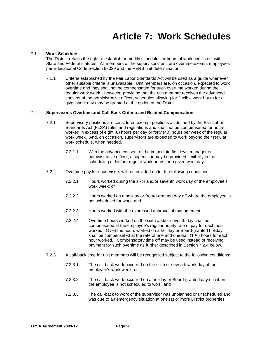# **Article 7: Work Schedules**

# <span id="page-22-0"></span>7.1 **Work Schedule**

The District retains the right to establish or modify schedules or hours of work consistent with State and Federal statutes. All members of the supervisors' unit are overtime exempt employees per Educational Code Section 88029 and the PERB unit determination.

7.1.1 Criteria established by the Fair Labor Standards Act will be used as a guide whenever other suitable criteria is unavailable. Unit members are, on occasion, expected to work overtime and they shall not be compensated for such overtime worked during the regular work week. However, providing that the unit member receives the advanced consent of the administrative officer, schedules allowing for flexible work hours for a given work day may be granted at the option of the District.

# 7.2 **Supervisor's Overtime and Call Back Criteria and Related Compensation**

- 7.2.1 Supervisory positions are considered exempt positions as defined by the Fair Labor Standards Act (FLSA) rules and regulations and shall not be compensated for hours worked in excess of eight (8) hours per day or forty (40) hours per week of the regular work week. And, on occasion, supervisors are expected to work beyond their regular work schedule, when needed.
	- 7.2.1.1 With the advance consent of the immediate first level manager or administrative officer, a supervisor may be provided flexibility in the scheduling of his/her regular work hours for a given work day.
- 7.2.2 Overtime pay for supervisors will be provided under the following conditions:
	- 7.2.2.1 Hours worked during the sixth and/or seventh work day of the employee's work week; or
	- 7.2.2.2 Hours worked on a holiday or Board-granted day off where the employee is not scheduled for work; and
	- 7.2.2.3 Hours worked with the expressed approval of management.
	- 7.2.2.4 Overtime hours worked on the sixth and/or seventh day shall be compensated at the employee's regular hourly rate of pay for each hour worked. Overtime hours worked on a holiday or Board-granted holiday shall be compensated at the rate of one and one-half (1 ½) hours for each hour worked. Compensatory time off may be used instead of receiving payment for such overtime as further described in Section 7.2.4 below.
- 7.2.3 A call-back time for unit members will be recognized subject to the following conditions:
	- 7.2.3.1 The call-back work occurred on the sixth or seventh work day of the employee's work week; or
	- 7.2.3.2 The call-back work occurred on a holiday or Board-granted day off when the employee is not scheduled to work; and
	- 7.2.3.3 The call-back to work of the supervisor was unplanned or unscheduled and was due to an emergency situation at one (1) or more District properties.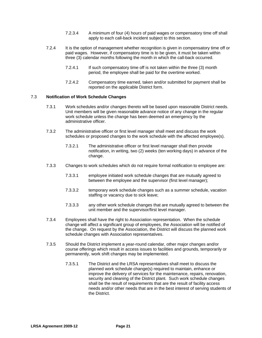- 7.2.3.4 A minimum of four (4) hour*s* of paid wages or compensatory time off shall apply to each call-back incident subject to this section.
- 7.2.4 It is the option of management whether recognition is given in compensatory time off or paid wages. However, if compensatory time is to be given, it must be taken within three (3) calendar months following the month in which the call-back occurred.
	- 7.2.4.1 If such compensatory time off is not taken within the three (3) month period, the employee shall be paid for the overtime worked.
	- 7.2.4.2 Compensatory time earned, taken and/or submitted for payment shall be reported on the applicable District form.

# 7.3 **Notification of Work Schedule Changes**

- 7.3.1 Work schedules and/or changes thereto will be based upon reasonable District needs. Unit members will be given reasonable advance notice of any change in the regular work schedule unless the change has been deemed an emergency by the administrative officer.
- 7.3.2 The administrative officer or first level manager shall meet and discuss the work schedules or proposed changes to the work schedule with the affected employee(s).
	- 7.3.2.1 The administrative officer or first level manager shall then provide notification, in writing, two (2) weeks (ten working days) in advance of the change.
- 7.3.3 Changes to work schedules which do not require formal notification to employee are:
	- 7.3.3.1 employee initiated work schedule changes that are mutually agreed to between the employee and the supervisor (first level manager);
	- 7.3.3.2 temporary work schedule changes such as a summer schedule, vacation staffing or vacancy due to sick leave;
	- 7.3.3.3 any other work schedule changes that are mutually agreed to between the unit member and the supervisor/first level manager.
- 7.3.4 Employees shall have the right to Association representation. When the schedule change will affect a significant group of employees, the Association will be notified of the change. On request by the Association, the District will discuss the planned work schedule changes with Association representatives.
- 7.3.5 Should the District implement a year-round calendar, other major changes and/or course offerings which result in access issues to facilities and grounds, temporarily or permanently, work shift changes may be implemented.
	- 7.3.5.1 The District and the LRSA representatives shall meet to discuss the planned work schedule change(s) required to maintain, enhance or improve the delivery of services for the maintenance, repairs, renovation, security and cleaning of the District plant. Such work schedule changes shall be the result of requirements that are the result of facility access needs and/or other needs that are in the best interest of serving students of the District.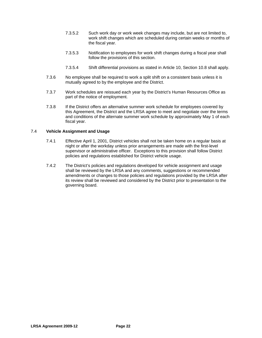- 7.3.5.2 Such work day or work week changes may include, but are not limited to, work shift changes which are scheduled during certain weeks or months of the fiscal year.
- 7.3.5.3 Notification to employees for work shift changes during a fiscal year shall follow the provisions of this section.
- 7.3.5.4 Shift differential provisions as stated in Article 10, Section 10.8 shall apply.
- 7.3.6 No employee shall be required to work a split shift on a consistent basis unless it is mutually agreed to by the employee and the District.
- 7.3.7 Work schedules are reissued each year by the District's Human Resources Office as part of the notice of employment.
- 7.3.8 If the District offers an alternative summer work schedule for employees covered by this Agreement, the District and the LRSA agree to meet and negotiate over the terms and conditions of the alternate summer work schedule by approximately May 1 of each fiscal year.

# 7.4 **Vehicle Assignment and Usage**

- 7.4.1 Effective April 1, 2001, District vehicles shall not be taken home on a regular basis at night or after the workday unless prior arrangements are made with the first-level supervisor or administrative officer. Exceptions to this provision shall follow District policies and regulations established for District vehicle usage.
- 7.4.2 The District's policies and regulations developed for vehicle assignment and usage shall be reviewed by the LRSA and any comments, suggestions or recommended amendments or changes to those policies and regulations provided by the LRSA after its review shall be reviewed and considered by the District prior to presentation to the governing board.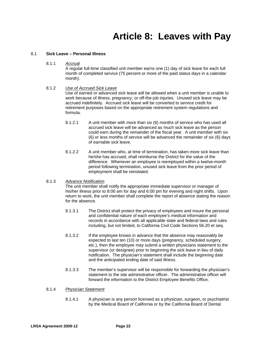# **Article 8: Leaves with Pay**

# <span id="page-25-0"></span>8.1 **Sick Leave – Personal Illness**

8.1.1 *Accrual*

A regular full-time classified unit member earns one (1) day of sick leave for each full month of completed service (75 percent or more of the paid status days in a calendar month).

# 8.1.2 *Use of Accrued Sick Leave*

Use of earned or advanced sick leave will be allowed when a unit member is unable to work because of illness, pregnancy, or off-the-job injuries. Unused sick leave may be accrued indefinitely. Accrued sick leave will be converted to service credit for retirement purposes based on the appropriate retirement system regulations and formula.

- 8.1.2.1 A unit member with more than six (6) months of service who has used all accrued sick leave will be advanced as much sick leave as the person could earn during the remainder of the fiscal year. A unit member with six (6) or less months of service will be advanced the remainder of six (6) days of earnable sick leave.
- 8.1.2.2 A unit member who, at time of termination, has taken more sick leave than he/she has accrued, shall reimburse the District for the value of the difference. Whenever an employee is reemployed within a twelve-month period following termination, unused sick leave from the prior period of employment shall be reinstated.

# 8.1.3 *Advance Notification*

The unit member shall notify the appropriate immediate supervisor or manager of his/her illness prior to 8:00 am for day and 6:00 pm for evening and night shifts. Upon return to work, the unit member shall complete the report of absence stating the reason for the absence.

- 8.1.3.1 The District shall protect the privacy of employees and insure the personal and confidential nature of each employee's medical information and records in accordance with all applicable state and federal laws and rules including, but not limited, to California Civil Code Sections 56.20 et seq.
- 8.1.3.2 If the employee knows in advance that the absence may reasonably be expected to last ten (10) or more days (pregnancy, scheduled surgery, etc.), then the employee may submit a written physicians statement to the supervisor (or designee) prior to beginning the sick leave in lieu of daily notification. The physician's statement shall include the beginning date and the anticipated ending date of said illness.
- 8.1.3.3 The member's supervisor will be responsible for forwarding the physician's statement to the site administrative officer. The administrative officer will forward the information to the District Employee Benefits Office.

# 8.1.4 *Physician Statement*

8.1.4.1 A physician is any person licensed as a physician, surgeon, or psychiatrist by the Medical Board of California or by the California Board of Dental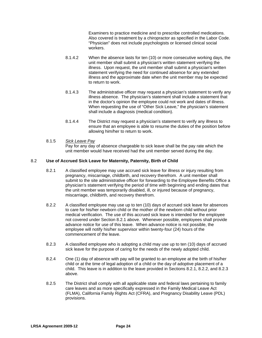Examiners to practice medicine and to prescribe controlled medications. Also covered is treatment by a chiropractor as specified in the Labor Code. "Physician" does not include psychologists or licensed clinical social workers.

- 8.1.4.2 When the absence lasts for ten (10) or more consecutive working days, the unit member shall submit a physician's written statement verifying the illness. Upon request, the unit member shall submit a physician's written statement verifying the need for continued absence for any extended illness and the approximate date when the unit member may be expected to return to work.
- 8.1.4.3 The administrative officer may request a physician's statement to verify any illness absence. The physician's statement shall include a statement that in the doctor's opinion the employee could not work and dates of illness. When requesting the use of "Other Sick Leave," the physician's statement shall include a diagnosis (medical condition).
- 8.1.4.4 The District may request a physician's statement to verify any illness to ensure that an employee is able to resume the duties of the position before allowing him/her to return to work.

# 8.1.5 *Sick Leave Pay*

Pay for any day of absence chargeable to sick leave shall be the pay rate which the unit member would have received had the unit member served during the day.

# 8.2 **Use of Accrued Sick Leave for Maternity, Paternity, Birth of Child**

- 8.2.1 A classified employee may use accrued sick leave for illness or injury resulting from pregnancy, miscarriage, childbirth, and recovery therefrom. A unit member shall submit to the site administrative officer for forwarding to the Employee Benefits Office a physician's statement verifying the period of time with beginning and ending dates that the unit member was temporarily disabled, ill, or injured because of pregnancy, miscarriage, childbirth, and recovery therefrom.
- 8.2.2 A classified employee may use up to ten (10) days of accrued sick leave for absences to care for his/her newborn child or the mother of the newborn child without prior medical verification. The use of this accrued sick leave is intended for the employee not covered under Section 8.2.1 above. Whenever possible, employees shall provide advance notice for use of this leave. When advance notice is not possible, the employee will notify his/her supervisor within twenty-four (24) hours of the commencement of the leave.
- 8.2.3 A classified employee who is adopting a child may use up to ten (10) days of accrued sick leave for the purpose of caring for the needs of the newly adopted child.
- 8.2.4 One (1) day of absence with pay will be granted to an employee at the birth of his/her child or at the time of legal adoption of a child or the day of adoptive placement of a child. This leave is in addition to the leave provided in Sections 8.2.1, 8.2.2, and 8.2.3 above.
- 8.2.5 The District shall comply with all applicable state and federal laws pertaining to family care leaves and as more specifically expressed in the Family Medical Leave Act (FLMA), California Family Rights Act (CFRA), and Pregnancy Disability Leave (PDL) provisions.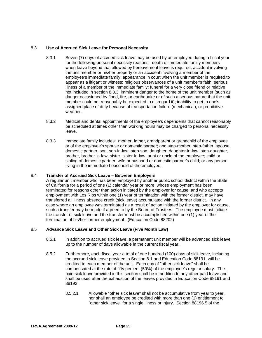# 8.3 **Use of Accrued Sick Leave for Personal Necessity**

- 8.3.1 Seven (7) days of accrued sick leave may be used by an employee during a fiscal year for the following personal necessity reasons: death of immediate family members when leave beyond that allowed by bereavement leave is required; accident involving the unit member or his/her property or an accident involving a member of the employee's immediate family; appearance in court when the unit member is required to appear as a litigant or witness; religious observances of a unit member's faith; serious illness of a member of the immediate family; funeral for a very close friend or relative not included in section 8.3.3; imminent danger to the home of the unit member (such as danger occasioned by flood, fire, or earthquake or of such a serious nature that the unit member could not reasonably be expected to disregard it); inability to get to one's assigned place of duty because of transportation failure (mechanical); or prohibitive weather.
- 8.3.2 Medical and dental appointments of the employee's dependents that cannot reasonably be scheduled at times other than working hours may be charged to personal necessity leave.
- 8.3.3 Immediate family includes: mother, father, grandparent or grandchild of the employee or of the employee's spouse or domestic partner; and step-mother, step-father, spouse, domestic partner, son, son-in-law, step-son, daughter, daughter-in-law, step-daughter, brother, brother-in-law, sister, sister-in-law, aunt or uncle of the employee; child or sibling of domestic partner; wife or husband or domestic partner's child; or any person living in the immediate household of the employee.

# 8.4 **Transfer of Accrued Sick Leave – Between Employers**

A regular unit member who has been employed by another public school district within the State of California for a period of one (1) calendar year or more, whose employment has been terminated for reasons other than action initiated by the employer for cause, and who accepts employment with Los Rios within one (1) year of termination with the former district, may have transferred all illness absence credit (sick leave) accumulated with the former district. In any case where an employee was terminated as a result of action initiated by the employer for cause, such a transfer may be made if agreed to by the Board of Trustees. The employee must initiate the transfer of sick leave and the transfer must be accomplished within one (1) year of the termination of his/her former employment. (Education Code 88202)

# 8.5 **Advance Sick Leave and Other Sick Leave (Five Month Law)**

- 8.5.1 In addition to accrued sick leave, a permanent unit member will be advanced sick leave up to the number of days allowable in the current fiscal year.
- 8.5.2 Furthermore, each fiscal year a total of one hundred (100) days of sick leave, including the accrued sick leave provided in Section 8.1 and Education Code 88191, will be credited to each member of the unit. Each day of "other sick leave" shall be compensated at the rate of fifty percent (50%) of the employee's regular salary. The paid sick leave provided in this section shall be in addition to any other paid leave and shall be used after the exhaustion of the leaves provided in Education Code 88191 and 88192.
	- 8.5.2.1 Allowable "other sick leave" shall not be accumulative from year to year, nor shall an employee be credited with more than one (1) entitlement to "other sick leave" for a single illness or injury. Section 88196.5 of the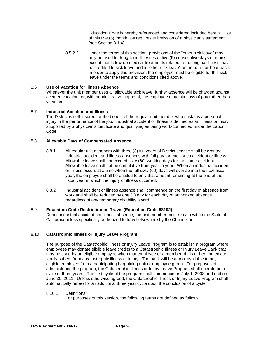Education Code is hereby referenced and considered included herein. Use of this five (5) month law requires submission of a physician's statement (see Section 8.1.4).

8.5.2.2 Under the terms of this section, provisions of the "other sick leave" may only be used for long-term illnesses of five (5) consecutive days or more, except that follow-up medical treatments related to the original illness may be credited to sick leave under "other sick leave" on an hour-for-hour basis. In order to apply this provision, the employee must be eligible for this sick leave under the terms and conditions cited above.

# 8.6 **Use of Vacation for Illness Absence**

Whenever the unit member uses all allowable sick leave**,** further absence will be charged against accrued vacation; or, with administrative approval, the employee may take loss of pay rather than vacation.

# 8.7 **Industrial Accident and Illness**

The District is self-insured for the benefit of the regular unit member who sustains a personal injury in the performance of the job. Industrial accident or illness is defined as an illness or injury supported by a physician's certificate and qualifying as being work-connected under the Labor Code.

# 8.8 **Allowable Days of Compensated Absence**

- 8.8.1 All regular unit members with three (3) full years of District service shall be granted industrial accident and illness absences with full pay for each such accident or illness. Allowable leave shall not exceed sixty (60) working days for the same accident. Allowable leave shall not be cumulative from year to year. When an industrial accident or illness occurs at a time when the full sixty (60) days will overlap into the next fiscal year, the employee shall be entitled to only that amount remaining at the end of the fiscal year in which the injury or illness occurred.
- 8.8.2 Industrial accident or illness absence shall commence on the first day of absence from work and shall be reduced by one (1) day for each day of authorized absence regardless of any temporary disability award.

# 8.9 **Education Code Restriction on Travel (Education Code 88192)**

During industrial accident and illness absence, the unit member must remain within the State of California unless specifically authorized to travel elsewhere by the Chancellor.

# 8.10 **Catastrophic Illness or Injury Leave Program**

The purpose of the Catastrophic Illness or Injury Leave Program is to establish a program where employees may donate eligible leave credits to a Catastrophic Illness or Injury Leave Bank that may be used by an eligible employee when that employee or a member of his or her immediate family suffers from a catastrophic illness or injury. The bank will be a pool available to any eligible employee from a participating bargaining unit or employee group. For purposes of administering the program, the Catastrophic Illness or Injury Leave Program shall operate on a cycle of three years. The first cycle of the program shall commence on July 1, 2008 and end on June 30, 2011. Unless otherwise agreed, the Catastrophic Illness or Injury Leave Program shall automatically renew for an additional three year cycle upon the conclusion of a cycle.

# 8.10.1 Definitions

For purposes of this section, the following terms are defined as follows: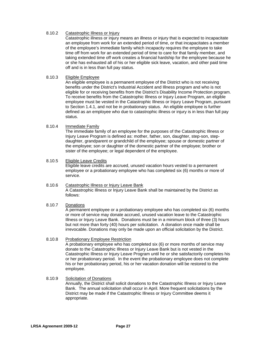# 8.10.2 Catastrophic Illness or Injury

Catastrophic illness or injury means an illness or injury that is expected to incapacitate an employee from work for an extended period of time, or that incapacitates a member of the employee's immediate family which incapacity requires the employee to take time off from work for an extended period of time to care for that family member, and taking extended time off work creates a financial hardship for the employee because he or she has exhausted all of his or her eligible sick leave, vacation, and other paid time off and is in less than full pay status.

# 8.10.3 Eligible Employee

An eligible employee is a permanent employee of the District who is not receiving benefits under the District's Industrial Accident and Illness program and who is not eligible for or receiving benefits from the District's Disability Income Protection program. To receive benefits from the Catastrophic Illness or Injury Leave Program, an eligible employee must be vested in the Catastrophic Illness or Injury Leave Program, pursuant to Section 1.4.1, and not be in probationary status. An eligible employee is further defined as an employee who due to catastrophic illness or injury is in less than full pay status.

# 8.10.4 Immediate Family

The immediate family of an employee for the purposes of the Catastrophic Illness or Injury Leave Program is defined as: mother, father, son, daughter, step-son, stepdaughter, grandparent or grandchild of the employee; spouse or domestic partner of the employee; son or daughter of the domestic partner of the employee; brother or sister of the employee; or legal dependent of the employee.

# 8.10.5 Eligible Leave Credits

Eligible leave credits are accrued, unused vacation hours vested to a permanent employee or a probationary employee who has completed six (6) months or more of service.

#### 8.10.6 Catastrophic Illness or Injury Leave Bank A Catastrophic Illness or Injury Leave Bank shall be maintained by the District as follows:

# 8.10.7 Donations

A permanent employee or a probationary employee who has completed six (6) months or more of service may donate accrued, unused vacation leave to the Catastrophic Illness or Injury Leave Bank. Donations must be in a minimum block of three (3) hours but not more than forty (40) hours per solicitation. A donation once made shall be irrevocable. Donations may only be made upon an official solicitation by the District.

# 8.10.8 Probationary Employee Restriction

A probationary employee who has completed six (6) or more months of service may donate to the Catastrophic Illness or Injury Leave Bank but is not vested in the Catastrophic Illness or Injury Leave Program until he or she satisfactorily completes his or her probationary period. In the event the probationary employee does not complete his or her probationary period, his or her vacation donation will be restored to the employee.

# 8.10.9 Solicitation of Donations

Annually, the District shall solicit donations to the Catastrophic Illness or Injury Leave Bank. The annual solicitation shall occur in April. More frequent solicitations by the District may be made if the Catastrophic Illness or Injury Committee deems it appropriate.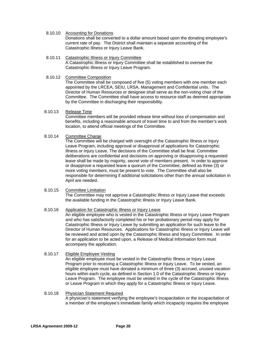- 8.10.10 Accounting for Donations Donations shall be converted to a dollar amount based upon the donating employee's current rate of pay. The District shall maintain a separate accounting of the Catastrophic Illness or Injury Leave Bank.
- 8.10.11 Catastrophic Illness or Injury Committee A Catastrophic Illness or Injury Committee shall be established to oversee the Catastrophic Illness or Injury Leave Program.
- 8.10.12 Committee Composition

The Committee shall be composed of five (5) voting members with one member each appointed by the LRCEA, SEIU, LRSA, Management and Confidential units. The Director of Human Resources or designee shall serve as the non-voting chair of the Committee. The Committee shall have access to resource staff as deemed appropriate by the Committee in discharging their responsibility.

# 8.10.13 Release Time

Committee members will be provided release time without loss of compensation and benefits, including a reasonable amount of travel time to and from the member's work location, to attend official meetings of the Committee.

# 8.10.14 Committee Charge

The Committee will be charged with oversight of the Catastrophic Illness or Injury Leave Program, including approval or disapproval of applications for Catastrophic Illness or Injury Leave. The decisions of the Committee shall be final. Committee deliberations are confidential and decisions on approving or disapproving a requested leave shall be made by majority, secret vote of members present. In order to approve or disapprove a requested leave a quorum of the Committee, defined as three (3) or more voting members, must be present to vote. The Committee shall also be responsible for determining if additional solicitations other than the annual solicitation in April are needed.

# 8.10.15 Committee Limitation

The Committee may not approve a Catastrophic Illness or Injury Leave that exceeds the available funding in the Catastrophic Illness or Injury Leave Bank.

# 8.10.16 Application for Catastrophic Illness or Injury Leave

An eligible employee who is vested in the Catastrophic Illness or Injury Leave Program and who has satisfactorily completed his or her probationary period may apply for Catastrophic Illness or Injury Leave by submitting an application for such leave to the Director of Human Resources. Applications for Catastrophic Illness or Injury Leave will be reviewed and acted upon by the Catastrophic Illness and Injury Committee. In order for an application to be acted upon, a Release of Medical Information form must accompany the application.

# 8.10.17 Eligible Employee Vesting

An eligible employee must be vested in the Catastrophic Illness or Injury Leave Program prior to receiving a Catastrophic Illness or Injury Leave. To be vested, an eligible employee must have donated a minimum of three (3) accrued, unused vacation hours within each cycle, as defined in Section 1.0 of the Catastrophic Illness or Injury Leave Program. The employee must be vested in the cycle of the Catastrophic Illness or Leave Program in which they apply for a Catastrophic Illness or Injury Leave.

# 8.10.18 Physician Statement Required

A physician's statement verifying the employee's incapacitation or the incapacitation of a member of the employee's immediate family which incapacity requires the employee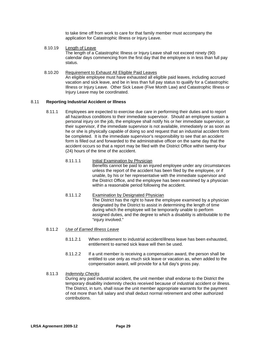to take time off from work to care for that family member must accompany the application for Catastrophic Illness or Injury Leave.

- 8.10.19 Length of Leave The length of a Catastrophic Illness or Injury Leave shall not exceed ninety (90) calendar days commencing from the first day that the employee is in less than full pay status.
- 8.10.20 Requirement to Exhaust All Eligible Paid Leaves An eligible employee must have exhausted all eligible paid leaves, including accrued vacation and sick leave, and be in less than full pay status to qualify for a Catastrophic Illness or Injury Leave. Other Sick Leave (Five Month Law) and Catastrophic Illness or Injury Leave may be coordinated.

#### 8.11 **Reporting Industrial Accident or Illness**

- 8.11.1 Employees are expected to exercise due care in performing their duties and to report all hazardous conditions to their immediate supervisor. Should an employee sustain a personal injury on the job, the employee shall notify his or her immediate supervisor, or their supervisor, if the immediate supervisor is not available, immediately or as soon as he or she is physically capable of doing so and request that an industrial accident form be completed. It is the immediate supervisor's responsibility to see that an accident form is filled out and forwarded to the administrative officer on the same day that the accident occurs so that a report may be filed with the District Office within twenty-four (24) hours of the time of the accident.
	- 8.11.1.1 Initial Examination by Physician Benefits cannot be paid to an injured employee under any circumstances unless the report of the accident has been filed by the employee, or if unable, by his or her representative with the immediate supervisor and the District Office, and the employee has been examined by a physician within a reasonable period following the accident.
	- 8.11.1.2 Examination by Designated Physician The District has the right to have the employee examined by a physician designated by the District to assist in determining the length of time during which the employee will be temporarily unable to perform assigned duties, and the degree to which a disability is attributable to the "injury involved."

# 8.11.2 *Use of Earned Illness Leave*

- 8.11.2.1 When entitlement to industrial accident/illness leave has been exhausted, entitlement to earned sick leave will then be used.
- 8.11.2.2 If a unit member is receiving a compensation award, the person shall be entitled to use only as much sick leave or vacation as, when added to the compensation award, will provide for a full day's gross pay.

# 8.11.3 *Indemnity Checks*

During any paid industrial accident, the unit member shall endorse to the District the temporary disability indemnity checks received because of industrial accident or illness. The District, in turn, shall issue the unit member appropriate warrants for the payment of not more than full salary and shall deduct normal retirement and other authorized contributions.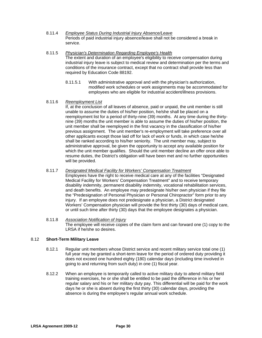- 8.11.4 *Employee Status During Industrial Injury Absence/Leave* Periods of paid industrial injury absence/leave shall not be considered a break in service.
- 8.11.5 *Physician's Determination Regarding Employee's Health* The extent and duration of an employee's eligibility to receive compensation during industrial injury leave is subject to medical review and determination per the terms and conditions of the insurance contract, except that no contract shall provide less than required by Education Code 88192.
	- 8.11.5.1 With administrative approval and with the physician's authorization, modified work schedules or work assignments may be accommodated for employees who are eligible for industrial accident/illness provisions.
- 8.11.6 *Reemployment List*

If, at the conclusion of all leaves of absence, paid or unpaid, the unit member is still unable to assume the duties of his/her position, he/she shall be placed on a reemployment list for a period of thirty-nine (39) months. At any time during the thirtynine (39) months the unit member is able to assume the duties of his/her position, the unit member shall be reemployed in the first vacancy in the classification of his/her previous assignment. The unit member's re-employment will take preference over all other applicants except those laid off for lack of work or funds, in which case he/she shall be ranked according to his/her seniority. The unit member may, subject to administrative approval, be given the opportunity to accept any available position for which the unit member qualifies. Should the unit member decline an offer once able to resume duties, the District's obligation will have been met and no further opportunities will be provided.

# 8.11.7 *Designated Medical Facility for Workers' Compensation Treatment*

Employees have the right to receive medical care at any of the facilities "Designated Medical Facility for Workers' Compensation Treatment" and to receive temporary disability indemnity, permanent disability indemnity, vocational rehabilitation services, and death benefits. An employee may predesignate his/her own physician if they file the "Predesignation of Personal Physician or Personal Chiropractor" form prior to any injury. If an employee does not predesignate a physician, a District designated Workers' Compensation physician will provide the first thirty (30) days of medical care, or until such time after thirty (30) days that the employee designates a physician.

#### 8.11.8 *Association Notification of Injury* The employee will receive copies of the claim form and can forward one (1) copy to the LRSA if he/she so desires.

# 8.12 **Short-Term Military Leave**

- 8.12.1 Regular unit members whose District service and recent military service total one (1) full year may be granted a short-term leave for the period of ordered duty providing it does not exceed one hundred eighty (180) calendar days (including time involved in going to and returning from such duty) in one (1) fiscal year.
- 8.12.2 When an employee is temporarily called to active military duty to attend military field training exercises, he or she shall be entitled to be paid the difference in his or her regular salary and his or her military duty pay. This differential will be paid for the work days he or she is absent during the first thirty (30) calendar days, providing the absence is during the employee's regular annual work schedule.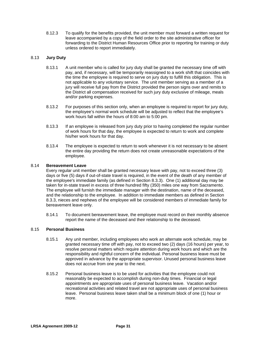8.12.3 To qualify for the benefits provided, the unit member must forward a written request for leave accompanied by a copy of the field order to the site administrative officer for forwarding to the District Human Resources Office prior to reporting for training or duty unless ordered to report immediately.

# 8.13 **Jury Duty**

- 8.13.1 A unit member who is called for jury duty shall be granted the necessary time off with pay, and, if necessary, will be temporarily reassigned to a work shift that coincides with the time the employee is required to serve on jury duty to fulfill this obligation. This is not applicable to any voluntary service. The unit member serving as a member of a jury will receive full pay from the District provided the person signs over and remits to the District all compensation received for such jury duty exclusive of mileage, meals and/or parking expenses.
- 8.13.2 For purposes of this section only, when an employee is required to report for jury duty, the employee's normal work schedule will be adjusted to reflect that the employee's work hours fall within the hours of 8:00 am to 5:00 pm.
- 8.13.3 If an employee is released from jury duty prior to having completed the regular number of work hours for that day, the employee is expected to return to work and complete his/her work hours for that day.
- 8.13.4 The employee is expected to return to work whenever it is not necessary to be absent the entire day providing the return does not create unreasonable expectations of the employee.

# 8.14 **Bereavement Leave**

Every regular unit member shall be granted necessary leave with pay, not to exceed three (3) days or five (5) days if out-of-state travel is required, in the event of the death of any member of the employee's immediate family (as defined in Section 8.3.3). One (1) additional day may be taken for in-state travel in excess of three hundred fifty (350) miles one way from Sacramento. The employee will furnish the immediate manager with the destination, name of the deceased, and the relationship to the employee. In addition to immediate members as defined in Section 8.3.3, nieces and nephews of the employee will be considered members of immediate family for bereavement leave only.

8.14.1 To document bereavement leave, the employee must record on their monthly absence report the name of the deceased and their relationship to the deceased.

# 8.15 **Personal Business**

- 8.15.1 Any unit member, including employees who work an alternate work schedule, may be granted necessary time off with pay, not to exceed two (2) days (16 hours) per year, to resolve personal matters which require attention during work hours and which are the responsibility and rightful concern of the individual. Personal business leave must be approved in advance by the appropriate supervisor. Unused personal business leave does not accrue from one year to the next.
- 8.15.2 Personal business leave is to be used for activities that the employee could not reasonably be expected to accomplish during non-duty times. Financial or legal appointments are appropriate uses of personal business leave. Vacation and/or recreational activities and related travel are not appropriate uses of personal business leave. Personal business leave taken shall be a minimum block of one (1) hour or more.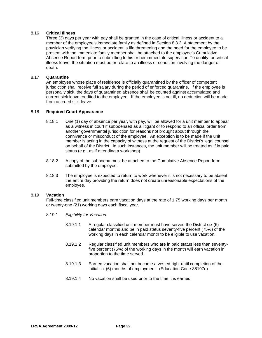# 8.16 **Critical Illness**

Three (3) days per year with pay shall be granted in the case of critical illness or accident to a member of the employee's immediate family as defined in Section 8.3.3. A statement by the physician verifying the illness or accident is life threatening and the need for the employee to be present with the immediate family member shall be attached to the employee's Cumulative Absence Report form prior to submitting to his or her immediate supervisor. To qualify for critical illness leave, the situation must be or relate to an illness or condition involving the danger of death.

# 8.17 **Quarantine**

An employee whose place of residence is officially quarantined by the officer of competent jurisdiction shall receive full salary during the period of enforced quarantine. If the employee is personally sick, the days of quarantined absence shall be counted against accumulated and current sick leave credited to the employee. If the employee is not ill, no deduction will be made from accrued sick leave.

# 8.18 **Required Court Appearance**

- 8.18.1 One (1) day of absence per year, with pay, will be allowed for a unit member to appear as a witness in court if subpoenaed as a litigant or to respond to an official order from another governmental jurisdiction for reasons not brought about through the connivance or misconduct of the employee. An exception is to be made if the unit member is acting in the capacity of witness at the request of the District's legal counsel on behalf of the District. In such instances, the unit member will be treated as if in paid status (e.g., as if attending a workshop).
- 8.18.2 A copy of the subpoena must be attached to the Cumulative Absence Report form submitted by the employee.
- 8.18.3 The employee is expected to return to work whenever it is not necessary to be absent the entire day providing the return does not create unreasonable expectations of the employee.

# 8.19 **Vacation**

Full-time classified unit members earn vacation days at the rate of 1.75 working days per month or twenty-one (21) working days each fiscal year.

# 8.19.1 *Eligibility for Vacation*

- 8.19*.*1.1 A regular classified unit member must have served the District six (6) calendar months and be in paid status seventy-five percent (75%) of the working days in each calendar month to be eligible to use vacation.
- 8.19.1.2 Regular classified unit members who are in paid status less than seventyfive percent (75%) of the working days in the month will earn vacation in proportion to the time served.
- 8.19.1.3 Earned vacation shall not become a vested right until completion of the initial six (6) months of employment. (Education Code 88197e)
- 8.19.1.4 No vacation shall be used prior to the time it is earned.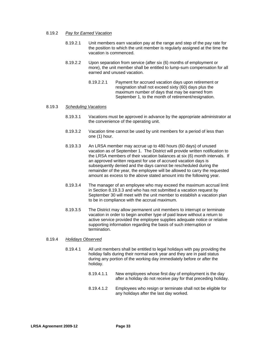#### 8*.*19*.*2 *Pay for Earned Vacation*

- 8*.*19*.*2.1 Unit members earn vacation pay at the range and step of the pay rate for the position to which the unit member is regularly assigned at the time the vacation is commenced.
- 8.19.2.2 Upon separation from service (after six (6) months of employment or more), the unit member shall be entitled to lump-sum compensation for all earned and unused vacation.
	- 8.19.2.2.1 Payment for accrued vacation days upon retirement or resignation shall not exceed sixty (60) days plus the maximum number of days that may be earned from September 1, to the month of retirement/resignation.

#### 8.19.3 *Scheduling Vacations*

- 8.19.3.1 Vacations must be approved in advance by the appropriate administrator at the convenience of the operating unit.
- 8.19.3.2 Vacation time cannot be used by unit members for a period of less than one (1) hour.
- 8*.*19*.*3.3 An LRSA member may accrue up to 480 hours (60 days) of unused vacation as of September 1. The District will provide written notification to the LRSA members of their vacation balances at six (6) month intervals. If an approved written request for use of accrued vacation days is subsequently denied and the days cannot be rescheduled during the remainder of the year, the employee will be allowed to carry the requested amount as excess to the above stated amount into the following year.
- 8.19.3.4 The manager of an employee who may exceed the maximum accrual limit in Section 8.19.3.3 and who has not submitted a vacation request by September 30 will meet with the unit member to establish a vacation plan to be in compliance with the accrual maximum.
- 8.19.3.5 The District may allow permanent unit members to interrupt or terminate vacation in order to begin another type of paid leave without a return to active service provided the employee supplies adequate notice or relative supporting information regarding the basis of such interruption or termination.

#### 8.19.4 *Holidays Observed*

- 8.19*.*4.1 All unit members shall be entitled to legal holidays with pay providing the holiday falls during their normal work year and they are in paid status during any portion of the working day immediately before or after the holiday.
	- 8.19.4.1.1 New employees whose first day of employment is the day after a holiday do not receive pay for that preceding holiday.
	- 8.19.4.1.2 Employees who resign or terminate shall not be eligible for any holidays after the last day worked.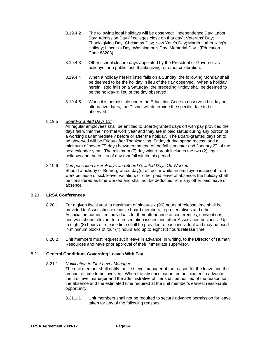- 8.19.4.2 The following legal holidays will be observed: Independence Day; Labor Day; Admission Day (if colleges close on that day); Veterans' Day; Thanksgiving Day; Christmas Day; New Year's Day; Martin Luther King's Holiday; Lincoln's Day; Washington's Day; Memorial Day. (Education Code 88203)
- 8.19.4.3 Other school closure days appointed by the President or Governor as holidays for a public fast, thanksgiving, or other celebration.
- 8.19.4.4 When a holiday herein listed falls on a Sunday, the following Monday shall be deemed to be the holiday in lieu of the day observed. When a holiday herein listed falls on a Saturday, the preceding Friday shall be deemed to be the holiday in lieu of the day observed.
- 8.19.4.5 When it is permissible under the Education Code to observe a holiday on alternative dates, the District will determine the specific date to be observed.

## 8.19.5 *Board-Granted Days Off*

All regular employees shall be entitled to Board-granted days off with pay provided the days fall within their normal work year and they are in paid status during any portion of a working day immediately before or after the holiday. The Board-granted days off to be observed will be Friday after Thanksgiving; Friday during spring recess; and a minimum of seven (7) days between the end of the fall semester and January  $2<sup>nd</sup>$  of the next calendar year. The minimum (7) day winter break includes the two (2) legal holidays and the in-lieu of day that fall within this period.

## 8.19.6 *Compensation for Holidays and Board-Granted Days Off Worked*

Should a holiday or Board-granted day(s) off occur while an employee is absent from work because of sick leave, vacation, or other paid leave of absence, the holiday shall be considered as time worked and shall not be deducted from any other paid leave of absence.

## 8.20 **LRSA Conferences**

- 8.20.1 For a given fiscal year, a maximum of ninety-six (96) hours of release time shall be provided to Association executive board members, representatives and other Association authorized individuals for their attendance at conferences, conventions, and workshops relevant to representation issues and other Association business. Up to eight (8) hours of release time shall be provided to each individual and may be used in minimum blocks of four (4) hours and up to eight (8) hours release time.
- 8.20.2 Unit members must request such leave in advance, in writing, to the Director of Human Resources and have prior approval of their immediate supervisor.

## 8.21 **General Conditions Governing Leaves With Pay**

## 8.21.1 *Notification to First Level Manager*

The unit member shall notify the first level manager of the reason for the leave and the amount of time to be involved. When the absence cannot be anticipated in advance, the first level manager and the administrative officer shall be notified of the reason for the absence and the estimated time required at the unit member's earliest reasonable opportunity.

8.21.1.1 Unit members shall not be required to secure advance permission for leave taken for any of the following reasons: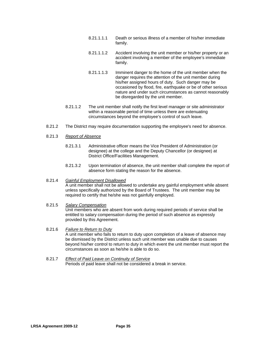- 8.21.1.1.1 Death or serious illness of a member of his/her immediate family.
- 8.21.1.1.2 Accident involving the unit member or his/her property or an accident involving a member of the employee's immediate family.
- 8.21.1.1.3 Imminent danger to the home of the unit member when the danger requires the attention of the unit member during his/her assigned hours of duty. Such danger may be occasioned by flood, fire, earthquake or be of other serious nature and under such circumstances as cannot reasonably be disregarded by the unit member.
- 8.21.1.2 The unit member shall notify the first level manager or site administrator within a reasonable period of time unless there are extenuating circumstances beyond the employee's control of such leave.
- 8.21.2 The District may require documentation supporting the employee's need for absence.
- 8.21.3 *Report of Absence*
	- 8.21.3.1 Administrative officer means the Vice President of Administration (or designee) at the college and the Deputy Chancellor (or designee) at District Office/Facilities Management.
	- 8.21.3.2 Upon termination of absence, the unit member shall complete the report of absence form stating the reason for the absence.
- 8.21.4 *Gainful Employment Disallowed*

A unit member shall not be allowed to undertake any gainful employment while absent unless specifically authorized by the Board of Trustees. The unit member may be required to certify that he/she was not gainfully employed.

#### 8.21.5 *Salary Compensation* Unit members who are absent from work during required periods of service shall be entitled to salary compensation during the period of such absence as expressly provided by this Agreement.

#### 8.21.6 *Failure to Return to Duty*

A unit member who fails to return to duty upon completion of a leave of absence may be dismissed by the District unless such unit member was unable due to causes beyond his/her control to return to duty in which event the unit member must report the circumstances as soon as he/she is able to do so.

8.21.7 *Effect of Paid Leave on Continuity of Service* Periods of paid leave shall not be considered a break in service.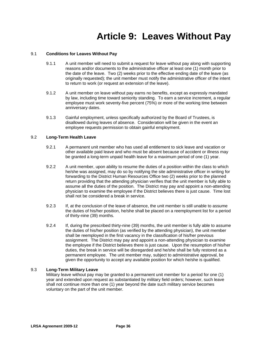# **Article 9: Leaves Without Pay**

## 9.1 **Conditions for Leaves Without Pay**

- 9.1.1 A unit member will need to submit a request for leave without pay along with supporting reasons and/or documents to the administrative officer at least one (1) month prior to the date of the leave. Two (2) weeks prior to the effective ending date of the leave (as originally requested); the unit member must notify the administrative officer of the intent to return to work (or request an extension of the leave).
- 9.1.2 A unit member on leave without pay earns no benefits, except as expressly mandated by law, including time toward seniority standing. To earn a service increment, a regular employee must work seventy-five percent (75%) or more of the working time between anniversary dates.
- 9.1.3 Gainful employment, unless specifically authorized by the Board of Trustees, is disallowed during leaves of absence. Consideration will be given in the event an employee requests permission to obtain gainful employment.

## 9.2 **Long-Term Health Leave**

- 9.2.1 A permanent unit member who has used all entitlement to sick leave and vacation or other available paid leave and who must be absent because of accident or illness may be granted a long-term unpaid health leave for a maximum period of one (1) year.
- 9.2.2 A unit member, upon ability to resume the duties of a position within the class to which he/she was assigned, may do so by notifying the site administrative officer in writing for forwarding to the District Human Resources Office two (2) weeks prior to the planned return providing that the attending physician verifies that the unit member is fully able to assume all the duties of the position. The District may pay and appoint a non-attending physician to examine the employee if the District believes there is just cause. Time lost shall not be considered a break in service.
- 9.2.3 If, at the conclusion of the leave of absence, the unit member is still unable to assume the duties of his/her position, he/she shall be placed on a reemployment list for a period of thirty-nine (39) months.
- 9.2.4 If, during the prescribed thirty-nine (39) months, the unit member is fully able to assume the duties of his/her position (as verified by the attending physician), the unit member shall be reemployed in the first vacancy in the classification of his/her previous assignment. The District may pay and appoint a non-attending physician to examine the employee if the District believes there is just cause. Upon the resumption of his/her duties, the break in service will be disregarded and he/she shall be fully restored as a permanent employee. The unit member may, subject to administrative approval, be given the opportunity to accept any available position for which he/she is qualified.

## 9.3 **Long-Term Military Leave**

Military leave without pay may be granted to a permanent unit member for a period for one (1) year and extended upon request as substantiated by military field orders; however, such leave shall not continue more than one (1) year beyond the date such military service becomes voluntary on the part of the unit member.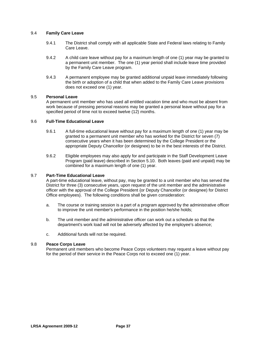## 9.4 **Family Care Leave**

- 9.4.1 The District shall comply with all applicable State and Federal laws relating to Family Care Leave.
- 9.4.2 A child care leave without pay for a maximum length of one (1) year may be granted to a permanent unit member. The one (1) year period shall include leave time provided by the Family Care Leave program.
- 9.4.3 A permanent employee may be granted additional unpaid leave immediately following the birth or adoption of a child that when added to the Family Care Leave provisions does not exceed one (1) year.

## 9.5 **Personal Leave**

A permanent unit member who has used all entitled vacation time and who must be absent from work because of pressing personal reasons may be granted a personal leave without pay for a specified period of time not to exceed twelve (12) months.

## 9.6 **Full-Time Educational Leave**

- 9.6.1 A full-time educational leave without pay for a maximum length of one (1) year may be granted to a permanent unit member who has worked for the District for seven (7) consecutive years when it has been determined by the College President or the appropriate Deputy Chancellor (or designee) to be in the best interests of the District.
- 9.6.2 Eligible employees may also apply for and participate in the Staff Development Leave Program (paid leave) described in Section 5.10. Both leaves (paid and unpaid) may be combined for a maximum length of one (1) year.

## 9.7 **Part-Time Educational Leave**

A part-time educational leave, without pay, may be granted to a unit member who has served the District for three (3) consecutive years, upon request of the unit member and the administrative officer with the approval of the College President {or Deputy Chancellor (or designee) for District Office employees}. The following conditions shall be given consideration:

- a. The course or training session is a part of a program approved by the administrative officer to improve the unit member's performance in the position he/she holds;
- b. The unit member and the administrative officer can work out a schedule so that the department's work load will not be adversely affected by the employee's absence;
- c. Additional funds will not be required.

## 9.8 **Peace Corps Leave**

Permanent unit members who become Peace Corps volunteers may request a leave without pay for the period of their service in the Peace Corps not to exceed one (1) year.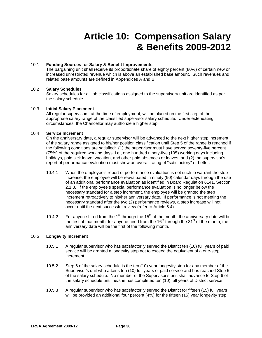# **Article 10: Compensation Salary & Benefits 2009-2012**

## 10.1 **Funding Sources for Salary & Benefit Improvements**

The bargaining unit shall receive its proportionate share of eighty percent (80%) of certain new or increased unrestricted revenue which is above an established base amount. Such revenues and related base amounts are defined in Appendices A and B.

## 10.2 **Salary Schedules**

Salary schedules for all job classifications assigned to the supervisory unit are identified as per the salary schedule.

## 10.3 **Initial Salary Placement**

All regular supervisors, at the time of employment, will be placed on the first step of the appropriate salary range of the classified supervisor salary schedule. Under extenuating circumstances, the Chancellor may authorize a higher step.

## 10.4 **Service Increment**

On the anniversary date, a regular supervisor will be advanced to the next higher step increment of the salary range assigned to his/her position classification until Step 5 of the range is reached if the following conditions are satisfied: (1) the supervisor must have served seventy-five percent (75%) of the required working days; i.e., one hundred ninety-five (195) working days including holidays, paid sick leave, vacation, and other paid absences or leaves; and (2) the supervisor's report of performance evaluation must show an overall rating of "satisfactory" or better.

- 10.4.1 When the employee's report of performance evaluation is not such to warrant the step increase, the employee will be reevaluated in ninety (90) calendar days through the use of an additional performance evaluation as identified in Board Regulation 6141, Section 2.1.3. If the employee's special performance evaluation is no longer below the necessary standard for a step increment, the employee will be granted the step increment retroactively to his/her anniversary date. If performance is not meeting the necessary standard after the two (2) performance reviews, a step increase will not occur until the next successful review (refer to Article 5.4).
- 10.4.2 For anyone hired from the 1<sup>st</sup> through the 15<sup>th</sup> of the month, the anniversary date will be the first of that month; for anyone hired from the  $16<sup>th</sup>$  through the  $31<sup>st</sup>$  of the month, the anniversary date will be the first of the following month.

## 10.5 **Longevity Increment**

- 10.5.1 A regular supervisor who has satisfactorily served the District ten (10) full years of paid service will be granted a longevity step not to exceed the equivalent of a one-step increment.
- 10.5.2 Step 6 of the salary schedule is the ten (10) year longevity step for any member of the Supervisor's unit who attains ten (10) full years of paid service and has reached Step 5 of the salary schedule. No member of the Supervisor's unit shall advance to Step 6 of the salary schedule until he/she has completed ten (10) full years of District service.
- 10.5.3 A regular supervisor who has satisfactorily served the District for fifteen (15) full years will be provided an additional four percent (4%) for the fifteen (15) year longevity step.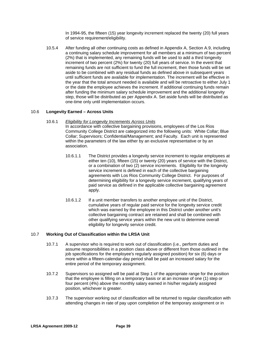In 1994-95, the fifteen (15) year longevity increment replaced the twenty (20) full years of service requirement/eligibility.

10.5.4 After funding all other continuing costs as defined in Appendix A, Section A.9, including a continuing salary schedule improvement for all members at a minimum of two percent (2%) that is implemented, any remaining funds will be used to add a third longevity increment of two percent (2%) for twenty (20) full years of service. In the event that remaining funds are not sufficient to fund the full increment, then those funds will be set aside to be combined with any residual funds as defined above in subsequent years until sufficient funds are available for implementation. The increment will be effective in the year that the total amount needed is available and will be retroactive to either July 1 or the date the employee achieves the increment. If additional continuing funds remain after funding the minimum salary schedule improvement and the additional longevity step, those will be distributed as per Appendix A. Set aside funds will be distributed as one-time only until implementation occurs.

## 10.6 **Longevity Earned – Across Units**

10.6.1 *Eligibility for Longevity Increments Across Units*

In accordance with collective bargaining provisions, employees of the Los Rios Community College District are categorized into the following units: White Collar; Blue Collar; Supervisors; Confidential/Management; and Faculty. Each unit is represented within the parameters of the law either by an exclusive representative or by an association.

- 10.6.1.1 The District provides a longevity service increment to regular employees at either ten (10), fifteen (15) or twenty (20) years of service with the District, or a combination of two (2) service increments. Eligibility for the longevity service increment is defined in each of the collective bargaining agreements with Los Rios Community College District. For purposes of determining eligibility for a longevity service increment, qualifying years of paid service as defined in the applicable collective bargaining agreement apply.
- 10.6.1.2 If a unit member transfers to another employee unit of the District, cumulative years of regular paid service for the longevity service credit which was earned by the employee in this District under another unit's collective bargaining contract are retained and shall be combined with other qualifying service years within the new unit to determine overall eligibility for longevity service credit.

## 10.7 **Working Out of Classification within the LRSA Unit**

- 10.7.1 A supervisor who is required to work out of classification (i.e., perform duties and assume responsibilities in a position class above or different from those outlined in the job specifications for the employee's regularly assigned position) for six (6) days or more within a fifteen-calendar-day period shall be paid an increased salary for the entire period of the temporary assignment.
- 10.7.2 Supervisors so assigned will be paid at Step 1 of the appropriate range for the position that the employee is filling on a temporary basis or at an increase of one (1) step or four percent (4%) above the monthly salary earned in his/her regularly assigned position, whichever is greater.
- 10.7.3 The supervisor working out of classification will be returned to regular classification with attending changes in rate of pay upon completion of the temporary assignment or in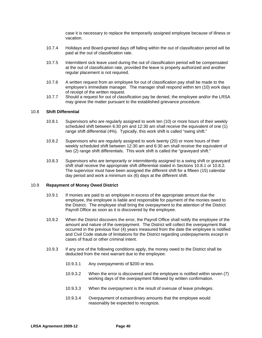case it is necessary to replace the temporarily assigned employee because of illness or vacation.

- 10.7.4 Holidays and Board-granted days off falling within the out of classification period will be paid at the out of classification rate.
- 10.7.5 Intermittent sick leave used during the out of classification period will be compensated at the out of classification rate, provided the leave is properly authorized and another regular placement is not required.
- 10.7.6 A written request from an employee for out of classification pay shall be made to the employee's immediate manager. The manager shall respond within ten (10) work days of receipt of the written request.
- 10.7.7 Should a request for out of classification pay be denied, the employee and/or the LRSA may grieve the matter pursuant to the established grievance procedure.

#### 10.8 **Shift Differential**

- 10.8.1 Supervisors who are regularly assigned to work ten (10) or more hours of their weekly scheduled shift between 6:30 pm and 12:30 am shall receive the equivalent of one (1) range shift differential (4%). Typically, this work shift is called "swing shift."
- 10.8.2 Supervisors who are regularly assigned to work twenty (20) or more hours of their weekly scheduled shift between 12:30 am and 6:30 am shall receive the equivalent of two (2) range shift differentials. This work shift is called the "graveyard shift."
- 10.8.3 Supervisors who are temporarily or intermittently assigned to a swing shift or graveyard shift shall receive the appropriate shift differential stated in Sections 10.8.1 or 10.8.2. The supervisor must have been assigned the different shift for a fifteen (15) calendar day period and work a minimum six (6) days at the different shift.

#### 10.9 **Repayment of Money Owed District**

- 10.9.1 If monies are paid to an employee in excess of the appropriate amount due the employee, the employee is liable and responsible for payment of the monies owed to the District. The employee shall bring the overpayment to the attention of the District Payroll Office as soon as it is discovered by the employee.
- 10.9.2 When the District discovers the error, the Payroll Office shall notify the employee of the amount and nature of the overpayment. The District will collect the overpayment that occurred in the previous four (4) years measured from the date the employee is notified and Civil Code statute of limitations for the District regarding underpayments except in cases of fraud or other criminal intent.
- 10.9.3 If any one of the following conditions apply, the money owed to the District shall be deducted from the next warrant due to the employee:
	- 10.9.3.1 Any overpayments of \$200 or less.
	- 10.9.3.2 When the error is discovered and the employee is notified within seven (7) working days of the overpayment followed by written confirmation.
	- 10.9.3.3 When the overpayment is the result of overuse of leave privileges.
	- 10.9.3.4 Overpayment of extraordinary amounts that the employee would reasonably be expected to recognize.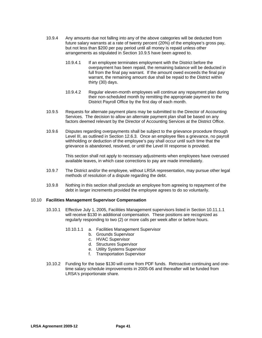- 10.9.4 Any amounts due not falling into any of the above categories will be deducted from future salary warrants at a rate of twenty percent (20%) of the employee's gross pay, but not less than \$200 per pay period until all money is repaid unless other arrangements as stipulated in Section 10.9.5 have been agreed to.
	- 10.9.4.1 If an employee terminates employment with the District before the overpayment has been repaid, the remaining balance will be deducted in full from the final pay warrant. If the amount owed exceeds the final pay warrant, the remaining amount due shall be repaid to the District within thirty (30) days.
	- 10.9.4.2 Regular eleven-month employees will continue any repayment plan during their non-scheduled month by remitting the appropriate payment to the District Payroll Office by the first day of each month.
- 10.9.5 Requests for alternate payment plans may be submitted to the Director of Accounting Services. The decision to allow an alternate payment plan shall be based on any factors deemed relevant by the Director of Accounting Services at the District Office.
- 10.9.6 Disputes regarding overpayments shall be subject to the grievance procedure through Level III, as outlined in Section 12.6.3. Once an employee files a grievance, no payroll withholding or deduction of the employee's pay shall occur until such time that the grievance is abandoned, resolved, or until the Level III response is provided.

This section shall not apply to necessary adjustments when employees have overused available leaves, in which case corrections to pay are made immediately.

- 10.9.7 The District and/or the employee, without LRSA representation, may pursue other legal methods of resolution of a dispute regarding the debt.
- 10.9.8 Nothing in this section shall preclude an employee from agreeing to repayment of the debt in larger increments provided the employee agrees to do so voluntarily.

## 10.10 **Facilities Management Supervisor Compensation**

- 10.10.1 Effective July 1, 2005, Facilities Management supervisors listed in Section 10.11.1.1 will receive \$130 in additional compensation. These positions are recognized as regularly responding to two (2) or more calls per week after or before hours.
	- 10.10.1.1 a. Facilities Management Supervisor
		- b. Grounds Supervisor
		- c. HVAC Supervisor
		- d. Structures Supervisor
		- e. Utility Systems Supervisor
		- f. Transportation Supervisor
- 10.10.2 Funding for the base \$130 will come from PDF funds. Retroactive continuing and onetime salary schedule improvements in 2005-06 and thereafter will be funded from LRSA's proportionate share.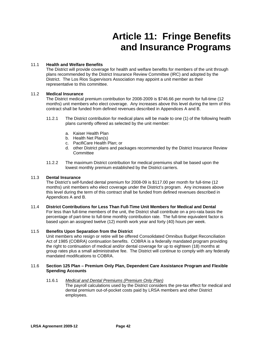# **Article 11: Fringe Benefits and Insurance Programs**

## 11.1 **Health and Welfare Benefits**

The District will provide coverage for health and welfare benefits for members of the unit through plans recommended by the District Insurance Review Committee (IRC) and adopted by the District. The Los Rios Supervisors Association may appoint a unit member as their representative to this committee.

## 11.2 **Medical Insurance**

The District medical premium contribution for 2008-2009 is \$746.66 per month for full-time (12 months) unit members who elect coverage. Any increases above this level during the term of this contract shall be funded from defined revenues described in Appendices A and B.

- 11.2.1 The District contribution for medical plans will be made to one (1) of the following health plans currently offered as selected by the unit member:
	- a. Kaiser Health Plan
	- b. Health Net Plan(s)
	- c. PacifiCare Health Plan; or
	- d. other District plans and packages recommended by the District Insurance Review **Committee**
- 11.2.2 The maximum District contribution for medical premiums shall be based upon the lowest monthly premium established by the District carriers.

## 11.3 **Dental Insurance**

The District's self-funded dental premium for 2008-09 is \$117.00 per month for full-time (12 months) unit members who elect coverage under the District's program. Any increases above this level during the term of this contract shall be funded from defined revenues described in Appendices A and B.

## 11.4 **District Contributions for Less Than Full-Time Unit Members for Medical and Dental**

For less than full-time members of the unit, the District shall contribute on a pro-rata basis the percentage of part-time to full-time monthly contribution rate. The full-time equivalent factor is based upon an assigned twelve (12) month work year and forty (40) hours per week.

## 11.5 **Benefits Upon Separation from the District**

Unit members who resign or retire will be offered Consolidated Omnibus Budget Reconciliation Act of 1985 (COBRA) continuation benefits. COBRA is a federally mandated program providing the right to continuation of medical and/or dental coverage for up to eighteen (18) months at group rates plus a small administrative fee. The District will continue to comply with any federally mandated modifications to COBRA.

## 11.6 **Section 125 Plan – Premium Only Plan, Dependent Care Assistance Program and Flexible Spending Accounts**

## 11.6.1 *Medical and Dental Premiums (Premium Only Plan)*

The payroll calculations used by the District considers the pre-tax effect for medical and dental premium out-of-pocket costs paid by LRSA members and other District employees.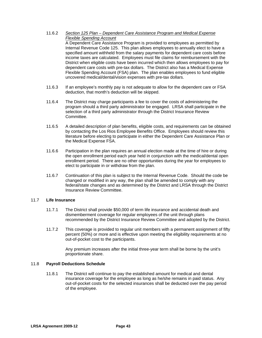11.6.2 *Section 125 Plan – Dependent Care Assistance Program and Medical Expense Flexible Spending Account*

A Dependent Care Assistance Program is provided to employees as permitted by Internal Revenue Code 125. This plan allows employees to annually elect to have a specified amount withheld from the salary payments for dependent care costs before income taxes are calculated. Employees must file claims for reimbursement with the District when eligible costs have been incurred which then allows employees to pay for dependent care costs with pre-tax dollars. The District also has a Medical Expense Flexible Spending Account (FSA) plan. The plan enables employees to fund eligible uncovered medical/dental/vision expenses with pre-tax dollars.

- 11.6.3 If an employee's monthly pay is not adequate to allow for the dependent care or FSA deduction, that month's deduction will be skipped.
- 11.6.4 The District may charge participants a fee to cover the costs of administering the program should a third party administrator be engaged. LRSA shall participate in the selection of a third party administrator through the District Insurance Review Committee.
- 11.6.5 A detailed description of plan benefits, eligible costs, and requirements can be obtained by contacting the Los Rios Employee Benefits Office. Employees should review this literature before electing to participate in either the Dependent Care Assistance Plan or the Medical Expense FSA.
- 11.6.6 Participation in the plan requires an annual election made at the time of hire or during the open enrollment period each year held in conjunction with the medical/dental open enrollment period. There are no other opportunities during the year for employees to elect to participate in or withdraw from the plan.
- 11.6.7 Continuation of this plan is subject to the Internal Revenue Code. Should the code be changed or modified in any way, the plan shall be amended to comply with any federal/state changes and as determined by the District and LRSA through the District Insurance Review Committee.

## 11.7 **Life Insurance**

- 11.7.1 The District shall provide \$50,000 of term life insurance and accidental death and dismemberment coverage for regular employees of the unit through plans recommended by the District Insurance Review Committee and adopted by the District.
- 11.7.2 This coverage is provided to regular unit members with a permanent assignment of fifty percent (50%) or more and is effective upon meeting the eligibility requirements at no out-of-pocket cost to the participants.

Any premium increases after the initial three-year term shall be borne by the unit's proportionate share.

## 11.8 **Payroll Deductions Schedule**

11.8.1 The District will continue to pay the established amount for medical and dental insurance coverage for the employee as long as he/she remains in paid status. Any out-of-pocket costs for the selected insurances shall be deducted over the pay period of the employee.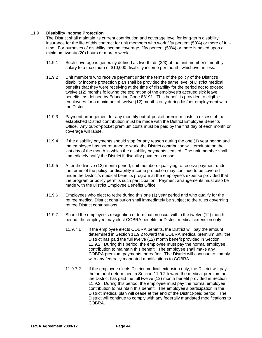## 11.9 **Disability Income Protection**

The District shall maintain its current contribution and coverage level for long-term disability insurance for the life of this contract for unit members who work fifty percent (50%) or more of fulltime. For purposes of disability income coverage, fifty percent (50%) or more is based upon a minimum twenty (20) hours or more a week.

- 11.9.1 Such coverage is generally defined as two-thirds (2/3) of the unit member's monthly salary to a maximum of \$10,000 disability income per month, whichever is less.
- 11.9.2 Unit members who receive payment under the terms of the policy of the District's disability income protection plan shall be provided the same level of District medical benefits that they were receiving at the time of disability for the period not to exceed twelve (12) months following the expiration of the employee's accrued sick leave benefits, as defined by Education Code 88191. This benefit is provided to eligible employees for a maximum of twelve (12) months only during his/her employment with the District.
- 11.9.3 Payment arrangement for any monthly out-of-pocket premium costs in excess of the established District contribution must be made with the District Employee Benefits Office. Any out-of-pocket premium costs must be paid by the first day of each month or coverage will lapse.
- 11.9.4 If the disability payments should stop for any reason during the one (1) year period and the employee has not returned to work, the District contribution will terminate on the last day of the month in which the disability payments ceased. The unit member shall immediately notify the District if disability payments cease.
- 11.9.5 After the twelve (12) month period, unit members qualifying to receive payment under the terms of the policy for disability income protection may continue to be covered under the District's medical benefits program at the employee's expense provided that the program or policy permits such participation. Payment arrangements must also be made with the District Employee Benefits Office.
- 11.9.6 Employees who elect to retire during this one (1) year period and who qualify for the retiree medical District contribution shall immediately be subject to the rules governing retiree District contributions.
- 11.9.7 Should the employee's resignation or termination occur within the twelve (12) month period, the employee may elect COBRA benefits or District medical extension only.
	- 11.9.7.1 If the employee elects COBRA benefits, the District will pay the amount determined in Section 11.9.2 toward the COBRA medical premium until the District has paid the full twelve (12) month benefit provided in Section 11.9.2. During this period, the employee must pay the normal employee contribution to maintain this benefit. The employee shall make any COBRA premium payments thereafter. The District will continue to comply with any federally mandated modifications to COBRA.
	- 11.9.7.2 If the employee elects District medical extension only, the District will pay the amount determined in Section 11.9.2 toward the medical premium until the District has paid the full twelve (12) month benefit provided in Section 11.9.2. During this period, the employee must pay the normal employee contribution to maintain this benefit. The employee's participation in the District medical plan will cease at the end of the District-paid period. The District will continue to comply with any federally mandated modifications to COBRA.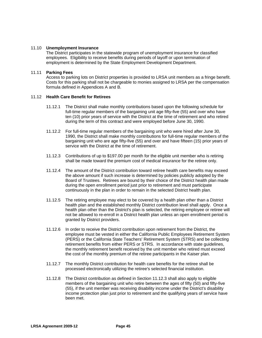## 11.10 **Unemployment Insurance**

The District participates in the statewide program of unemployment insurance for classified employees. Eligibility to receive benefits during periods of layoff or upon termination of employment is determined by the State Employment Development Department.

### 11.11 **Parking Fees**

Access to parking lots on District properties is provided to LRSA unit members as a fringe benefit. Costs for this parking shall not be chargeable to monies assigned to LRSA per the compensation formula defined in Appendices A and B.

## 11.12 **Health Care Benefit for Retirees**

- 11.12.1 The District shall make monthly contributions based upon the following schedule for full-time regular members of the bargaining unit age fifty-five (55) and over who have ten (10) prior years of service with the District at the time of retirement and who retired during the term of this contract and were employed before June 30, 1990.
- 11.12.2 For full-time regular members of the bargaining unit who were hired after June 30, 1990, the District shall make monthly contributions for full-time regular members of the bargaining unit who are age fifty-five (55) and over and have fifteen (15) prior years of service with the District at the time of retirement.
- 11.12.3 Contributions of up to \$197.00 per month for the eligible unit member who is retiring shall be made toward the premium cost of medical insurance for the retiree only.
- 11.12.4 The amount of the District contribution toward retiree health care benefits may exceed the above amount if such increase is determined by policies publicly adopted by the Board of Trustees. Retirees are bound by their choice of the District health plan made during the open enrollment period just prior to retirement and must participate continuously in the plan in order to remain in the selected District health plan.
- 11.12.5 The retiring employee may elect to be covered by a health plan other than a District health plan and the established monthly District contribution level shall apply. Once a health plan other than the District's plan is selected, the retiring employee or retiree will not be allowed to re-enroll in a District health plan unless an open enrollment period is granted by District providers.
- 11.12.6 In order to receive the District contribution upon retirement from the District, the employee must be vested in either the California Public Employees Retirement System (PERS) or the California State Teachers' Retirement System (STRS) and be collecting retirement benefits from either PERS or STRS. In accordance with state guidelines, the monthly retirement benefit received by the unit member who retired must exceed the cost of the monthly premium of the retiree participants in the Kaiser plan.
- 11.12.7 The monthly District contribution for health care benefits for the retiree shall be processed electronically utilizing the retiree's selected financial institution.
- 11.12.8 The District contribution as defined in Section 11.12.3 shall also apply to eligible members of the bargaining unit who retire between the ages of fifty (50) and fifty-five (55), if the unit member was receiving disability income under the District's disability income protection plan just prior to retirement and the qualifying years of service have been met.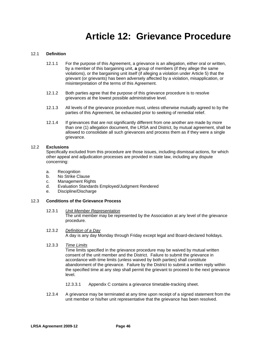## **Article 12: Grievance Procedure**

## 12.1 **Definition**

- 12.1.1 For the purpose of this Agreement, a grievance is an allegation, either oral or written, by a member of this bargaining unit, **a** group of members (if they allege the same violations), or the bargaining unit itself (if alleging a violation under Article 5) that the grievant (or grievants) has been adversely affected by a violation, misapplication, or misinterpretation of the terms of this Agreement.
- 12.1.2 Both parties agree that the purpose of this grievance procedure is to resolve grievances at the lowest possible administrative level.
- 12.1.3 All levels of the grievance procedure must, unless otherwise mutually agreed to by the parties of this Agreement, be exhausted prior to seeking of remedial relief.
- 12.1.4 If grievances that are not significantly different from one another are made by more than one (1) allegation document, the LRSA and District, by mutual agreement, shall be allowed to consolidate all such grievances and process them as if they were a single grievance.

## 12.2 **Exclusions**

Specifically excluded from this procedure are those issues, including dismissal actions, for which other appeal and adjudication processes are provided in state law, including any dispute concerning:

- a. Recognition
- b. No Strike Clause
- c. Management Rights
- d. Evaluation Standards Employed/Judgment Rendered
- e. Discipline/Discharge

## 12.3 **Conditions of the Grievance Process**

- 12.3.1 *Unit Member Representation* The unit member may be represented by the Association at any level of the grievance procedure.
- 12.3.2 *Definition of a Day* A day is any day Monday through Friday except legal and Board-declared holidays.
- 12.3.3 *Time Limits*

Time limits specified in the grievance procedure may be waived by mutual written consent of the unit member and the District. Failure to submit the grievance in accordance with time limits (unless waived by both parties) shall constitute abandonment of the grievance. Failure by the District to submit a written reply within the specified time at any step shall permit the grievant to proceed to the next grievance level.

- 12.3.3.1 Appendix C contains a grievance timetable-tracking sheet.
- 12.3.4 A grievance may be terminated at any time upon receipt of a signed statement from the unit member or his/her unit representative that the grievance has been resolved.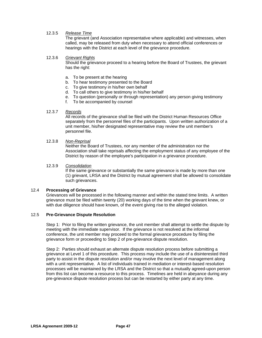## 12.3.5 *Release Time*

The grievant (and Association representative where applicable) and witnesses, when called, may be released from duty when necessary to attend official conferences or hearings with the District at each level of the grievance procedure.

## 12.3.6 *Grievant Rights*

Should the grievance proceed to a hearing before the Board of Trustees, the grievant has the right:

- a. To be present at the hearing
- b. To hear testimony presented to the Board
- c. To give testimony in his/her own behalf
- d. To call others to give testimony in his/her behalf
- e. To question (personally or through representation) any person giving testimony
- f. To be accompanied by counsel

## 12.3.7 *Records*

All records of the grievance shall be filed with the District Human Resources Office separately from the personnel files of the participants. Upon written authorization of a unit member, his/her designated representative may review the unit member's personnel file.

## 12.3.8 *Non-Reprisal*

Neither the Board of Trustees, nor any member of the administration nor the Association shall take reprisals affecting the employment status of any employee of the District by reason of the employee's participation in a grievance procedure.

## 12.3.9 *Consolidation*

If the same grievance or substantially the same grievance is made by more than one (1) grievant, LRSA and the District by mutual agreement shall be allowed to consolidate such grievances.

## 12.4 **Processing of Grievance**

Grievances will be processed in the following manner and within the stated time limits. A written grievance must be filed within twenty (20) working days of the time when the grievant knew, or with due diligence should have known, of the event giving rise to the alleged violation.

## 12.5 **Pre-Grievance Dispute Resolution**

Step 1:Prior to filing the written grievance, the unit member shall attempt to settle the dispute by meeting with the immediate supervisor. If the grievance is not resolved at the informal conference, the unit member may proceed to the formal grievance procedure by filing the grievance form or proceeding to Step 2 of pre-grievance dispute resolution.

Step 2: Parties should exhaust an alternate dispute resolution process before submitting a grievance at Level 1 of this procedure. This process may include the use of a disinterested third party to assist in the dispute resolution and/or may involve the next level of management along with a unit representative. A list of individuals trained in mediation or interest-based resolution processes will be maintained by the LRSA and the District so that a mutually agreed-upon person from this list can become a resource to this process. Timelines are held in abeyance during any pre-grievance dispute resolution process but can be restarted by either party at any time.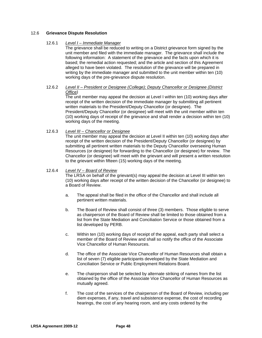## 12.6 **Grievance Dispute Resolution**

## 12.6.1 *Level I – Immediate Manager*

The grievance shall be reduced to writing on a District grievance form signed by the unit member and filed with the immediate manager. The grievance shall include the following information: A statement of the grievance and the facts upon which it is based; the remedial action requested; and the article and section of this Agreement alleged to have been violated. The resolution of the grievance will be prepared in writing by the immediate manager and submitted to the unit member within ten (10) working days of the pre-grievance dispute resolution.

## 12.6.2 *Level II – President or Designee (College); Deputy Chancellor or Designee (District Office)*

The unit member may appeal the decision at Level I within ten (10) working days after receipt of the written decision of the immediate manager by submitting all pertinent written materials to the President/Deputy Chancellor (or designee). The President/Deputy Chancellor (or designee) will meet with the unit member within ten (10) working days of receipt of the grievance and shall render a decision within ten (10) working days of the meeting.

## 12.6.3 *Level III – Chancellor or Designee*

The unit member may appeal the decision at Level II within ten (10) working days after receipt of the written decision of the President/Deputy Chancellor (or designee) by submitting all pertinent written materials to the Deputy Chancellor overseeing Human Resources (or designee) for forwarding to the Chancellor (or designee) for review. The Chancellor (or designee) will meet with the grievant and will present a written resolution to the grievant within fifteen (15) working days of the meeting.

## 12.6.4 *Level IV – Board of Review*

The LRSA on behalf of the grievant(s) may appeal the decision at Level III within ten (10) working days after receipt of the written decision of the Chancellor (or designee) to a Board of Review.

- a. The appeal shall be filed in the office of the Chancellor and shall include all pertinent written materials.
- b. The Board of Review shall consist of three (3) members. Those eligible to serve as chairperson of the Board of Review shall be limited to those obtained from a list from the State Mediation and Conciliation Service or those obtained from a list developed by PERB.
- c. Within ten (10) working days of receipt of the appeal, each party shall select a member of the Board of Review and shall so notify the office of the Associate Vice Chancellor of Human Resources.
- d. The office of the Associate Vice Chancellor of Human Resources shall obtain a list of seven (7) eligible participants developed by the State Mediation and Conciliation Service or Public Employment Relations Board.
- e. The chairperson shall be selected by alternate striking of names from the list obtained by the office of the Associate Vice Chancellor of Human Resources as mutually agreed.
- f. The cost of the services of the chairperson of the Board of Review, including per diem expenses, if any, travel and subsistence expense, the cost of recording hearings, the cost of any hearing room, and any costs ordered by the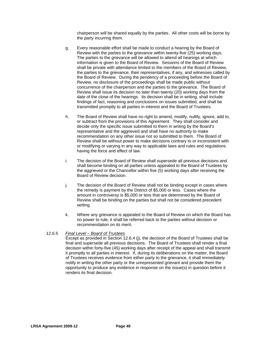chairperson will be shared equally by the parties. All other costs will be borne by the party incurring them.

- g. Every reasonable effort shall be made to conduct a hearing by the Board of Review with the parties to the grievance within twenty-five (25) working days. The parties to the grievance will be allowed to attend all hearings at which information is given to the Board of Review. Sessions of the Board of Review shall be private with attendance limited to the members of the Board of Review, the parties to the grievance, their representatives, if any, and witnesses called by the Board of Review. During the pendency of a proceeding before the Board of Review, no disclosure of the proceedings shall be made public without concurrence of the chairperson and the parties to the grievance. The Board of Review shall issue its decision no later than twenty (20) working days from the date of the close of the hearings. Its decision shall be in writing, shall include findings of fact, reasoning and conclusions on issues submitted, and shall be transmitted promptly to all parties in interest and the Board of Trustees.
- h. The Board of Review shall have no right to amend, modify, nullify, ignore, add to, or subtract from the provisions of this Agreement. They shall consider and decide only the specific issue submitted to them in writing by the Board's representative and the aggrieved and shall have no authority to make recommendation on any other issue not so submitted to them. The Board of Review shall be without power to make decisions contrary to or inconsistent with or modifying or varying in any way to applicable laws and rules and regulations having the force and effect of law.
- i. The decision of the Board of Review shall supersede all previous decisions and shall become binding on all parties unless appealed to the Board of Trustees by the aggrieved or the Chancellor within five (5) working days after receiving the Board of Review decision.
- j. The decision of the Board of Review shall not be binding except in cases where the remedy is payment by the District of \$5,000 or less. Cases where the amount in controversy is \$5,000 or less that are determined by the Board of Review shall be binding on the parties but shall not be considered precedent setting.
- k. Where any grievance is appealed to the Board of Review on which the Board has no power to rule, it shall be referred back to the parties without decision or recommendation on its merit.

## 12.6.5 *Final Level – Board of Trustees*

Except as provided in Section 12.6.4 (j), the decision of the Board of Trustees shall be final and supersede all previous decisions. The Board of Trustees shall render a final decision within forty-five (45) working days after receipt of the appeal and shall transmit it promptly to all parties in interest. If, during its deliberations on the matter, the Board of Trustees receives evidence from either party to the grievance, it shall immediately notify in writing the other party or the unrepresented grievant and provide them the opportunity to produce any evidence in response on the issue(s) in question before it renders its final decision.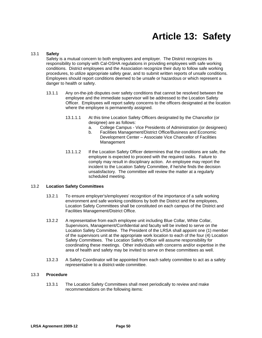## **Article 13: Safety**

## 13.1 **Safety**

Safety is a mutual concern to both employees and employer. The District recognizes its responsibility to comply with Cal-OSHA regulations in providing employees with safe working conditions. District employees and the Association recognize their duty to follow safe working procedures, to utilize appropriate safety gear, and to submit written reports of unsafe conditions. Employees should report conditions deemed to be unsafe or hazardous or which represent a danger to health or safety.

- 13.1.1 Any on-the-job disputes over safety conditions that cannot be resolved between the employee and the immediate supervisor will be addressed to the Location Safety Officer. Employees will report safety concerns to the officers designated at the location where the employee is permanently assigned.
	- 13.1.1.1 At this time Location Safety Officers designated by the Chancellor (or designee) are as follows:
		- a. College Campus Vice Presidents of Administration (or designees)
		- b. Facilities Management/District Office/Business and Economic Development Center – Associate Vice Chancellor of Facilities Management
	- 13.1.1.2 If the Location Safety Officer determines that the conditions are safe, the employee is expected to proceed with the required tasks. Failure to comply may result in disciplinary action. An employee may report the incident to the Location Safety Committee, if he/she finds the decision unsatisfactory. The committee will review the matter at a regularly scheduled meeting.

#### 13.2 **Location Safety Committees**

- 13.2.1 To ensure employer's/employees' recognition of the importance of a safe working environment and safe working conditions by both the District and the employees, Location Safety Committees shall be constituted on each campus of the District and Facilities Management/District Office.
- 13.2.2 A representative from each employee unit including Blue Collar, White Collar, Supervisors, Management/Confidential and faculty will be invited to serve on the Location Safety Committee. The President of the LRSA shall appoint one (1) member of the supervisors unit at the appropriate work location to each of the four (4) Location Safety Committees. The Location Safety Officer will assume responsibility for coordinating these meetings. Other individuals with concerns and/or expertise in the area of health and safety may be invited to serve on these committees as well.
- 13.2.3 A Safety Coordinator will be appointed from each safety committee to act as a safety representative to a district-wide committee.

#### 13.3 **Procedure**

13.3.1 The Location Safety Committees shall meet periodically to review and make recommendations on the following items: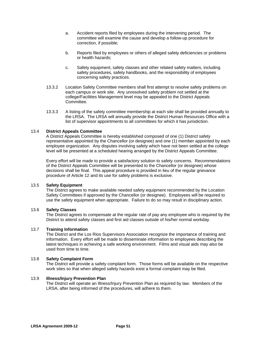- a. Accident reports filed by employees during the intervening period. The committee will examine the cause and develop a follow-up procedure for correction, if possible;
- b. Reports filed by employees or others of alleged safety deficiencies or problems or health hazards;
- c. Safety equipment, safety classes and other related safety matters, including safety procedures, safety handbooks, and the responsibility of employees concerning safety practices.
- 13.3.2 Location Safety Committee members shall first attempt to resolve safety problems on each campus or work site. Any unresolved safety problem not settled at the college/Facilities Management level may be appealed to the District Appeals Committee.
- 13.3.3 A listing of the safety committee membership at each site shall be provided annually to the LRSA. The LRSA will annually provide the District Human Resources Office with a list of supervisor appointments to all committees for which it has jurisdiction.

## 13.4 **District Appeals Committee**

A District Appeals Committee is hereby established composed of one (1) District safety representative appointed by the Chancellor (or designee) and one (1) member appointed by each employee organization. Any disputes involving safety which have not been settled at the college level will be presented at a scheduled hearing arranged by the District Appeals Committee.

Every effort will be made to provide a satisfactory solution to safety concerns. Recommendations of the District Appeals Committee will be presented to the Chancellor (or designee) whose decisions shall be final. This appeal procedure is provided in lieu of the regular grievance procedure of Article 12 and its use for safety problems is exclusive.

## 13.5 **Safety Equipment**

The District agrees to make available needed safety equipment recommended by the Location Safety Committees if approved by the Chancellor (or designee). Employees will be required to use the safety equipment when appropriate. Failure to do so may result in disciplinary action.

## 13.6 **Safety Classes**

The District agrees to compensate at the regular rate of pay any employee who is required by the District to attend safety classes and first aid classes outside of his/her normal workday.

## 13.7 **Training Information**

The District and the Los Rios Supervisors Association recognize the importance of training and information. Every effort will be made to disseminate information to employees describing the latest techniques in achieving a safe working environment. Films and visual aids may also be used from time to time.

## 13.8 **Safety Complaint Form**

The District will provide a safety complaint form. Those forms will be available on the respective work sites so that when alleged safety hazards exist a formal complaint may be filed.

#### 13.9 **Illness/Injury Prevention Plan**

The District will operate an Illness/Injury Prevention Plan as required by law. Members of the LRSA, after being informed of the procedures, will adhere to them.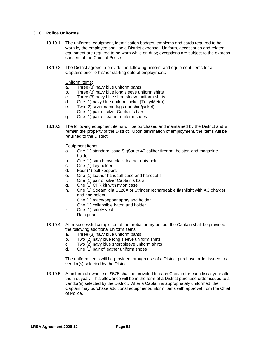## 13.10 **Police Uniforms**

- 13.10.1 The uniforms, equipment, identification badges, emblems and cards required to be worn by the employee shall be a District expense. Uniform, accessories and related equipment are required to be worn while on duty; exceptions are subject to the express consent of the Chief of Police
- 13.10.2 The District agrees to provide the following uniform and equipment items for all Captains prior to his/her starting date of employment:

## Uniform items:

- a. Three (3) navy blue uniform pants
- b. Three (3) navy blue long sleeve uniform shirts
- c. Three (3) navy blue short sleeve uniform shirts
- d. One (1) navy blue uniform jacket (Tuffy/Metro)
- e. Two (2) silver name tags (for shirt/jacket)
- f. One (1) pair of silver Captain's bars
- g. One (1) pair of leather uniform shoes
- 13.10.3 The following equipment items will be purchased and maintained by the District and will remain the property of the District. Upon termination of employment, the items will be returned to the District.

Equipment items:

- a. One (1) standard issue SigSauer 40 caliber firearm, holster, and magazine holder
- b. One (1) sam brown black leather duty belt
- c. One (1) key holder
- d. Four (4) belt keepers
- e. One (1) leather handcuff case and handcuffs
- f. One (1) pair of silver Captain's bars
- g. One (1) CPR kit with nylon case
- h. One (1) Streamlight SL20X or Stringer rechargeable flashlight with AC charger and ring holder
- i. One (1) mace/pepper spray and holder
- j. One (1) collapsible baton and holder
- k. One (1) safety vest
- l. Rain gear
- 13.10.4 After successful completion of the probationary period, the Captain shall be provided the following additional uniform items:
	- a. Three (3) navy blue uniform pants
	- b. Two (2) navy blue long sleeve uniform shirts
	- c. Two (2) navy blue short sleeve uniform shirts
	- d. One (1) pair of leather uniform shoes

The uniform items will be provided through use of a District purchase order issued to a vendor(s) selected by the District.

13.10.5 A uniform allowance of \$575 shall be provided to each Captain for each fiscal year after the first year. This allowance will be in the form of a District purchase order issued to a vendor(s) selected by the District. After a Captain is appropriately uniformed, the Captain may purchase additional equipment/uniform items with approval from the Chief of Police.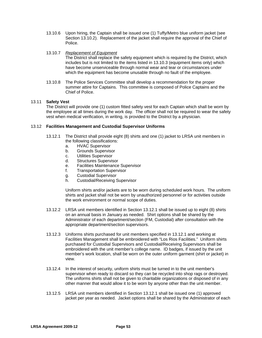- 13.10.6 Upon hiring, the Captain shall be issued one (1) Tuffy/Metro blue uniform jacket (see Section 13.10.2). Replacement of the jacket shall require the approval of the Chief of Police.
- 13.10.7 *Replacement of Equipment*

The District shall replace the safety equipment which is required by the District, which includes but is not limited to the items listed in 13.10.3 (equipment items only) which have become unserviceable through normal wear and tear or circumstances under which the equipment has become unusable through no fault of the employee.

13.10.8 The Police Services Committee shall develop a recommendation for the proper summer attire for Captains. This committee is composed of Police Captains and the Chief of Police.

## 13.11 **Safety Vest**

The District will provide one (1) custom fitted safety vest for each Captain which shall be worn by the employee at all times during the work day. The officer shall not be required to wear the safety vest when medical verification, in writing, is provided to the District by a physician.

## 13.12 **Facilities Management and Custodial Supervisor Uniforms**

- 13.12.1 The District shall provide eight (8) shirts and one (1) jacket to LRSA unit members in the following classifications:
	- a. HVAC Supervisor
	- b. Grounds Supervisor
	- c. Utilities Supervisor
	- d. Structures Supervisor
	- e. Facilities Maintenance Supervisor
	- f. Transportation Supervisor
	- g. Custodial Supervisor
	- h. Custodial/Receiving Supervisor

Uniform shirts and/or jackets are to be worn during scheduled work hours. The uniform shirts and jacket shall not be worn by unauthorized personnel or for activities outside the work environment or normal scope of duties.

- 13.12.2 LRSA unit members identified in Section 13.12.1 shall be issued up to eight (8) shirts on an annual basis in January as needed. Shirt options shall be shared by the Administrator of each department/section (FM, Custodial) after consultation with the appropriate department/section supervisors.
- 13.12.3 Uniforms shirts purchased for unit members specified in 13.12.1 and working at Facilities Management shall be embroidered with "Los Rios Facilities." Uniform shirts purchased for Custodial Supervisors and Custodial/Receiving Supervisors shall be embroidered with the unit member's college name. ID badges, if issued by the unit member's work location, shall be worn on the outer uniform garment (shirt or jacket) in view.
- 13.12.4 In the interest of security, uniform shirts must be turned in to the unit member's supervisor when ready to discard so they can be recycled into shop rags or destroyed. The uniforms shirts shall not be given to charitable organizations or disposed of in any other manner that would allow it to be worn by anyone other than the unit member.
- 13.12.5 LRSA unit members identified in Section 13.12.1 shall be issued one (1) approved jacket per year as needed. Jacket options shall be shared by the Administrator of each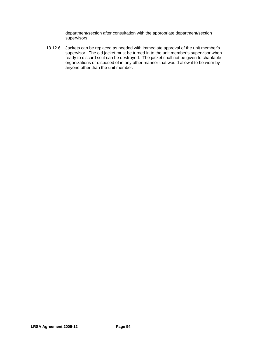department/section after consultation with the appropriate department/section supervisors.

13.12.6 Jackets can be replaced as needed with immediate approval of the unit member's supervisor. The old jacket must be turned in to the unit member's supervisor when ready to discard so it can be destroyed. The jacket shall not be given to charitable organizations or disposed of in any other manner that would allow it to be worn by anyone other than the unit member.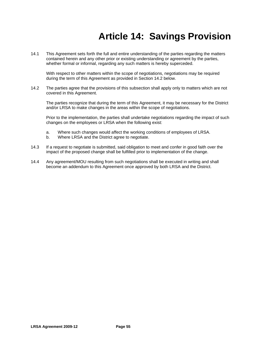# **Article 14: Savings Provision**

14.1 This Agreement sets forth the full and entire understanding of the parties regarding the matters contained herein and any other prior or existing understanding or agreement by the parties, whether formal or informal, regarding any such matters is hereby superceded.

With respect to other matters within the scope of negotiations, negotiations may be required during the term of this Agreement as provided in Section 14.2 below.

14.2 The parties agree that the provisions of this subsection shall apply only to matters which are not covered in this Agreement.

The parties recognize that during the term of this Agreement, it may be necessary for the District and/or LRSA to make changes in the areas within the scope of negotiations.

Prior to the implementation, the parties shall undertake negotiations regarding the impact of such changes on the employees or LRSA when the following exist:

- a. Where such changes would affect the working conditions of employees of LRSA.
- b. Where LRSA and the District agree to negotiate.
- 14.3 If a request to negotiate is submitted, said obligation to meet and confer in good faith over the impact of the proposed change shall be fulfilled prior to implementation of the change.
- 14.4 Any agreement/MOU resulting from such negotiations shall be executed in writing and shall become an addendum to this Agreement once approved by both LRSA and the District.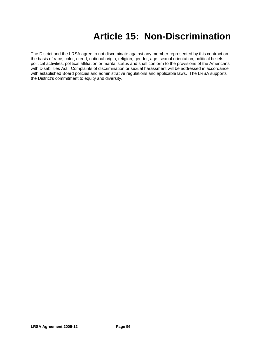# **Article 15: Non-Discrimination**

The District and the LRSA agree to not discriminate against any member represented by this contract on the basis of race, color, creed, national origin, religion, gender, age, sexual orientation, political beliefs, political activities, political affiliation or marital status and shall conform to the provisions of the Americans with Disabilities Act. Complaints of discrimination or sexual harassment will be addressed in accordance with established Board policies and administrative regulations and applicable laws. The LRSA supports the District's commitment to equity and diversity.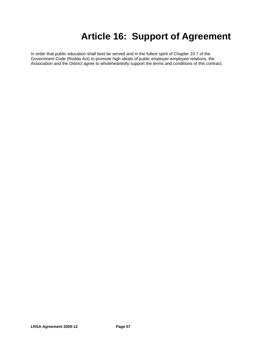# **Article 16: Support of Agreement**

In order that public education shall best be served and in the fullest spirit of Chapter 10.7 of the Government Code (Rodda Act) to promote high ideals of public employer-employee relations, the Association and the District agree to wholeheartedly support the terms and conditions of this contract.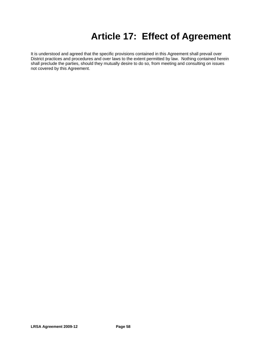# **Article 17: Effect of Agreement**

It is understood and agreed that the specific provisions contained in this Agreement shall prevail over District practices and procedures and over laws to the extent permitted by law. Nothing contained herein shall preclude the parties, should they mutually desire to do so, from meeting and consulting on issues not covered by this Agreement.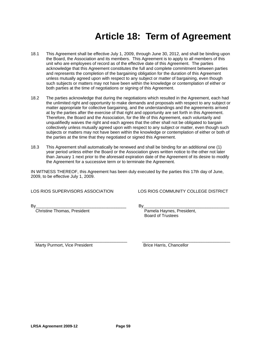## **Article 18: Term of Agreement**

- 18.1 This Agreement shall be effective July 1, 2009, through June 30, 2012, and shall be binding upon the Board, the Association and its members. This Agreement is to apply to all members of this unit who are employees of record as of the effective date of this Agreement. The parties acknowledge that this Agreement constitutes the full and complete commitment between parties and represents the completion of the bargaining obligation for the duration of this Agreement unless mutually agreed upon with respect to any subject or matter of bargaining, even though such subjects or matters may not have been within the knowledge or contemplation of either or both parties at the time of negotiations or signing of this Agreement.
- 18.2 The parties acknowledge that during the negotiations which resulted in the Agreement, each had the unlimited right and opportunity to make demands and proposals with respect to any subject or matter appropriate for collective bargaining, and the understandings and the agreements arrived at by the parties after the exercise of that right and opportunity are set forth in this Agreement. Therefore, the Board and the Association, for the life of this Agreement, each voluntarily and unqualifiedly waives the right and each agrees that the other shall not be obligated to bargain collectively unless mutually agreed upon with respect to any subject or matter, even though such subjects or matters may not have been within the knowledge or contemplation of either or both of the parties at the time that they negotiated or signed this Agreement.
- 18.3 This Agreement shall automatically be renewed and shall be binding for an additional one (1) year period unless either the Board or the Association gives written notice to the other not later than January 1 next prior to the aforesaid expiration date of the Agreement of its desire to modify the Agreement for a successive term or to terminate the Agreement.

IN WITNESS THEREOF, this Agreement has been duly executed by the parties this 17th day of June, 2009, to be effective July 1, 2009.

LOS RIOS SUPERVISORS ASSOCIATION LOS RIOS COMMUNITY COLLEGE DISTRICT

Christine Thomas, President **Pamela Haynes, President**,

By\_\_\_\_\_\_\_\_\_\_\_\_\_\_\_\_\_\_\_\_\_\_\_\_\_\_\_\_\_\_\_\_\_\_\_\_\_\_ By\_\_\_\_\_\_\_\_\_\_\_\_\_\_\_\_\_\_\_\_\_\_\_\_\_\_\_\_\_\_\_\_\_\_\_\_ Board of Trustees

 \_\_\_\_\_\_\_\_\_\_\_\_\_\_\_\_\_\_\_\_\_\_\_\_\_\_\_\_\_\_\_\_\_\_\_\_\_\_\_ \_\_\_\_\_\_\_\_\_\_\_\_\_\_\_\_\_\_\_\_\_\_\_\_\_\_\_\_\_\_\_\_\_\_\_\_\_ Marty Purmort, Vice President **Brice Harris**, Chancellor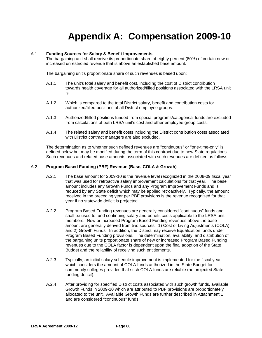# **Appendix A: Compensation 2009-10**

## A.1 **Funding Sources for Salary & Benefit Improvements**

The bargaining unit shall receive its proportionate share of eighty percent (80%) of certain new or increased unrestricted revenue that is above an established base amount.

The bargaining unit's proportionate share of such revenues is based upon:

- A.1.1 The unit's total salary and benefit cost, including the cost of District contribution towards health coverage for all authorized/filled positions associated with the LRSA unit is
- A.1.2 Which is compared to the total District salary, benefit and contribution costs for authorized/filled positions of all District employee groups.
- A.1.3 Authorized/filled positions funded from special programs/categorical funds are excluded from calculations of both LRSA unit's cost and other employee group costs.
- A.1.4 The related salary and benefit costs including the District contribution costs associated with District contract managers are also excluded.

The determination as to whether such defined revenues are "continuous" or "one-time-only" is defined below but may be modified during the term of this contract due to new State regulations. Such revenues and related base amounts associated with such revenues are defined as follows:

## A.2 **Program Based Funding (PBF) Revenue (Base, COLA & Growth)**

- A.2.1 The base amount for 2009-10 is the revenue level recognized in the 2008-09 fiscal year that was used for retroactive salary improvement calculations for that year. The base amount includes any Growth Funds and any Program Improvement Funds and is reduced by any State deficit which may be applied retroactively. Typically, the amount received in the preceding year per PBF provisions is the revenue recognized for that year if no statewide deficit is projected.
- A.2.2 Program Based Funding revenues are generally considered "continuous" funds and shall be used to fund continuing salary and benefit costs applicable to the LRSA unit members. New or increased Program Based Funding revenues above the base amount are generally derived from two sources: 1) Cost of Living Adjustments (COLA); and 2) Growth Funds. In addition, the District may receive Equalization funds under Program Based Funding provisions. The determination, availability, and distribution of the bargaining units proportionate share of new or increased Program Based Funding revenues due to the COLA factor is dependent upon the final adoption of the State Budget and the reliability of receiving such entitlements.
- A.2.3 Typically, an initial salary schedule improvement is implemented for the fiscal year which considers the amount of COLA funds authorized in the State Budget for community colleges provided that such COLA funds are reliable (no projected State funding deficit).
- A.2.4 After providing for specified District costs associated with such growth funds, available Growth Funds in 2009-10 which are attributed to PBF provisions are proportionately allocated to the unit. Available Growth Funds are further described in Attachment 1 and are considered "continuous" funds.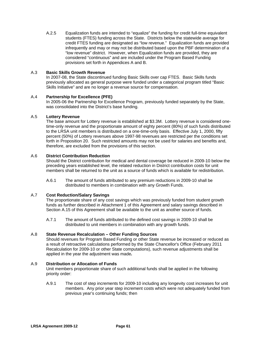A.2.5 Equalization funds are intended to "equalize" the funding for credit full-time equivalent students (FTES) funding across the State. Districts below the statewide average for credit FTES funding are designated as "low revenue." Equalization funds are provided infrequently and may or may not be distributed based upon the PBF determination of a "low revenue" district. However, when Equalization funds are provided, they are considered "continuous" and are included under the Program Based Funding provisions set forth in Appendices A and B.

## A.3 **Basic Skills Growth Revenue**

In 2007-08, the State discontinued funding Basic Skills over cap FTES. Basic Skills funds previously allocated as general purpose were funded under a categorical program titled "Basic Skills Initiative" and are no longer a revenue source for compensation.

## A.4 **Partnership for Excellence (PFE)**

In 2005-06 the Partnership for Excellence Program, previously funded separately by the State, was consolidated into the District's base funding.

## A.5 **Lottery Revenue**

The base amount for Lottery revenue is established at \$3.3M. Lottery revenue is considered onetime-only revenue and the proportionate amount of eighty percent (80%) of such funds distributed to the LRSA unit members is distributed on a one-time-only basis. Effective July 1, 2000, fifty percent (50%) of Lottery revenues above 1997-98 revenues are restricted per the conditions set forth in Proposition 20. Such restricted amounts may not be used for salaries and benefits and, therefore, are excluded from the provisions of this section.

## A.6 **District Contribution Reduction**

Should the District contribution for medical and dental coverage be reduced in 2009-10 below the preceding years established level, the related reduction in District contribution costs for unit members shall be returned to the unit as a source of funds which is available for redistribution.

A.6.1 The amount of funds attributed to any premium reductions in 2009-10 shall be distributed to members in combination with any Growth Funds.

## A.7 **Cost Reduction/Salary Savings**

The proportionate share of any cost savings which was previously funded from student growth funds as further described in Attachment 1 of this Agreement and salary savings described in Section A.15 of this Agreement shall be available to the unit as another source of funds.

A.7.1 The amount of funds attributed to the defined cost savings in 2009-10 shall be distributed to unit members in combination with any growth funds.

## A.8 **State Revenue Recalculation – Other Funding Sources**

Should revenues for Program Based Funding or other State revenue be increased or reduced as a result of retroactive calculations performed by the State Chancellor's Office (February 2011 Recalculation for 2009-10 or other State computations), such revenue adjustments shall be applied in the year the adjustment was made*.* 

## A.9 **Distribution or Allocation of Funds**

Unit members proportionate share of such additional funds shall be applied in the following priority order:

A.9.1 The cost of step increments for 2009-10 including any longevity cost increases for unit members.Any prior year step increment costs which were not adequately funded from previous year's continuing funds; then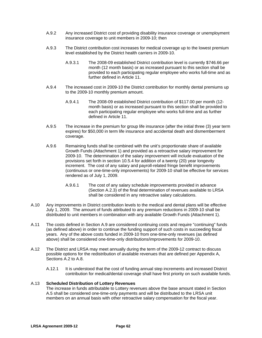- A.9.2 Any increased District cost of providing disability insurance coverage or unemployment insurance coverage to unit members in 2009-10; then
- A.9.3 The District contribution cost increases for medical coverage up to the lowest premium level established by the District health carriers in 2009-10.
	- A.9.3.1 The 2008-09 established District contribution level is currently \$746.66 per month (12 month basis) or as increased pursuant to this section shall be provided to each participating regular employee who works full-time and as further defined in Article 11.
- A.9.4 The increased cost in 2009-10 the District contribution for monthly dental premiums up to the 2009-10 monthly premium amount.
	- A.9.4.1 The 2008-09 established District contribution of \$117.00 per month (12 month basis) or as increased pursuant to this section shall be provided to each participating regular employee who works full-time and as further defined in Article 11.
- A.9.5 The increase in the premium for group life insurance (after the initial three (3) year term expires) for \$50,000 in term life insurance and accidental death and dismemberment coverage.
- A.9.6 Remaining funds shall be combined with the unit's proportionate share of available Growth Funds (Attachment 1) and provided as a retroactive salary improvement for 2009-10. The determination of the salary improvement will include evaluation of the provisions set forth in section 10.5.4 for addition of a twenty (20) year longevity increment. The cost of any salary and payroll-related fringe benefit improvements (continuous or one-time-only improvements) for 2009-10 shall be effective for services rendered as of July 1, 2009.
	- A.9.6.1 The cost of any salary schedule improvements provided in advance (Section A.2.3) of the final determination of revenues available to LRSA shall be considered in any retroactive salary calculations.
- A.10 Any improvements in District contribution levels to the medical and dental plans will be effective July 1, 2009. The amount of funds attributed to any premium reductions in 2009-10 shall be distributed to unit members in combination with any available Growth Funds (Attachment 1).
- A.11 The costs defined in Section A.9 are considered continuing costs and require "continuing" funds (as defined above) in order to continue the funding support of such costs in succeeding fiscal years. Any of the above costs funded in 2009-10 from one-time-only revenues (as defined above) shall be considered one-time-only distributions/improvements for 2009-10.
- A.12 The District and LRSA may meet annually during the term of the 2009-12 contract to discuss possible options for the redistribution of available revenues that are defined per Appendix A, Sections A.2 to A.8.
	- A.12.1 It is understood that the cost of funding annual step increments and increased District contribution for medical/dental coverage shall have first priority on such available funds.

## A.13 **Scheduled Distribution of Lottery Revenues**

The increase in funds attributable to Lottery revenues above the base amount stated in Section A.5 shall be considered one-time-only payments and will be distributed to the LRSA unit members on an annual basis with other retroactive salary compensation for the fiscal year.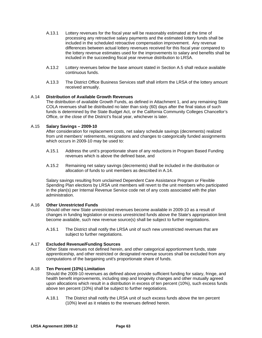- A.13.1 Lottery revenues for the fiscal year will be reasonably estimated at the time of processing any retroactive salary payments and the estimated lottery funds shall be included in the scheduled retroactive compensation improvement. Any revenue differences between actual lottery revenues received for this fiscal year compared to the lottery revenue estimates used for the improvements to salary and benefits shall be included in the succeeding fiscal year revenue distribution to LRSA.
- A.13.2 Lottery revenues below the base amount stated in Section A.5 shall reduce available continuous funds.
- A.13.3 The District Office Business Services staff shall inform the LRSA of the lottery amount received annually.

## A.14 **Distribution of Available Growth Revenues**

The distribution of available Growth Funds, as defined in Attachment 1, and any remaining State COLA revenues shall be distributed no later than sixty (60) days after the final status of such funds is determined by the State Budget Act, or the California Community Colleges Chancellor's Office, or the close of the District's fiscal year, whichever is later.

## A.15 **Salary Savings – 2009-10**

After consideration for replacement costs, net salary schedule savings (decrements) realized from unit members' retirements, resignations and changes to categorically funded assignments which occurs in 2009-10 may be used to:

- A.15.1 Address the unit's proportionate share of any reductions in Program Based Funding revenues which is above the defined base, and
- A.15.2 Remaining net salary savings (decrements) shall be included in the distribution or allocation of funds to unit members as described in A.14.

Salary savings resulting from unclaimed Dependent Care Assistance Program or Flexible Spending Plan elections by LRSA unit members will revert to the unit members who participated in the plan(s) per Internal Revenue Service code net of any costs associated with the plan administration.

## A.16 **Other Unrestricted Funds**

Should other new State unrestricted revenues become available in 2009-10 as a result of changes in funding legislation or excess unrestricted funds above the State's appropriation limit become available, such new revenue source(s) shall be subject to further negotiations.

A.16.1 The District shall notify the LRSA unit of such new unrestricted revenues that are subject to further negotiations.

## A.17 **Excluded Revenue/Funding Sources**

Other State revenues not defined herein, and other categorical apportionment funds, state apprenticeship, and other restricted or designated revenue sources shall be excluded from any computations of the bargaining unit's proportionate share of funds.

## A.18 **Ten Percent (10%) Limitation**

Should the 2009-10 revenues as defined above provide sufficient funding for salary, fringe, and health benefit improvements, including step and longevity changes and other mutually agreed upon allocations which result in a distribution in excess of ten percent (10%), such excess funds above ten percent (10%) shall be subject to further negotiations.

A.18.1 The District shall notify the LRSA unit of such excess funds above the ten percent (10%) level as it relates to the revenues defined herein.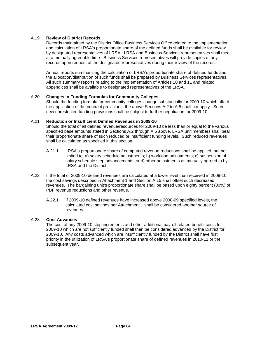## A.19 **Review of District Records**

Records maintained by the District Office Business Services Office related to the implementation and calculation of LRSA's proportionate share of the defined funds shall be available for review by designated representatives of LRSA. LRSA and Business Services representatives shall meet at a mutually agreeable time. Business Services representatives will provide copies of any records upon request of the designated representatives during their review of the records.

Annual reports summarizing the calculation of LRSA's proportionate share of defined funds and the allocation/distribution of such funds shall be prepared by Business Services representatives. All such summary reports relating to the implementation of Articles 10 and 11 and related appendices shall be available to designated representatives of the LRSA.

## A**.**20 **Changes in Funding Formulas for Community Colleges**

Should the funding formula for community colleges change substantially for 2009-10 which affect the application of the contract provisions, the above Sections A.2 to A.5 shall not apply. Such new unrestricted funding provisions shall be subject to further negotiation for 2009-10.

#### A.21 **Reduction or Insufficient Defined Revenues in 2009-10**

Should the total of all defined revenue/resources for 2009-10 be less than or equal to the various specified base amounts stated in Sections A.2 through A.6 above, LRSA unit members shall bear their proportionate share of such reduced or insufficient funding levels. Such reduced revenues shall be calculated as specified in this section.

- A.21.1 LRSA's proportionate share of computed revenue reductions shall be applied, but not limited to: a) salary schedule adjustments; b) workload adjustments; c) suspension of salary schedule step advancements; or d) other adjustments as mutually agreed to by LRSA and the District.
- A.22 If the total of 2009-10 defined revenues are calculated at a lower level than received in 2009-10, the cost savings described in Attachment 1 and Section A.15 shall offset such decreased revenues. The bargaining unit's proportionate share shall be based upon eighty percent (80%) of PBF revenue reductions and other revenue.
	- A.22.1 If 2009-10 defined revenues have increased above 2008-09 specified levels, the calculated cost savings per Attachment 1 shall be considered another source of revenues.

## A.23 **Cost Advances**

The cost of any 2009-10 step increments and other additional payroll related benefit costs for 2009-10 which are not sufficiently funded shall then be considered advanced by the District for 2009-10. Any costs advanced which are insufficiently funded by the District shall have first priority in the utilization of LRSA's proportionate share of defined revenues in 2010-11 or the subsequent year.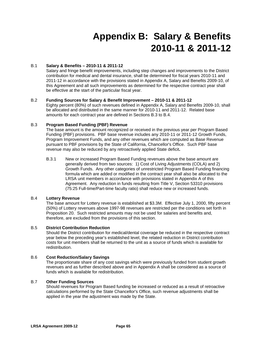# **Appendix B: Salary & Benefits 2010-11 & 2011-12**

## B.1 **Salary & Benefits – 2010-11 & 2011-12**

Salary and fringe benefit improvements, including step changes and improvements to the District contribution for medical and dental insurance, shall be determined for fiscal years 2010-11 and 2011-12 in accordance with the provisions stated in Appendix A, Salary and Benefits 2009-10, of this Agreement and all such improvements as determined for the respective contract year shall be effective at the start of the particular fiscal year.

## B.2 **Funding Sources for Salary & Benefit Improvement – 2010-11 & 2011-12**

Eighty percent (80%) of such revenues defined in Appendix A, Salary and Benefits 2009-10, shall be allocated and distributed in the same manner for 2010-11 and 2011-12. Related base amounts for each contract year are defined in Sections B.3 to B.4.

## B.3 **Program Based Funding (PBF) Revenue**

The base amount is the amount recognized or received in the previous year per Program Based Funding (PBF) provisions. PBF base revenue includes any 2010-11 or 2011-12 Growth Funds, Program Improvement Funds, and any other revenues which are computed as Base Revenue pursuant to PBF provisions by the State of California, Chancellor's Office. Such PBF base revenue may also be reduced by any retroactively applied State deficit**.** 

B.3.1 New or increased Program Based Funding revenues above the base amount are generally derived from two sources: 1) Cost of Living Adjustments (COLA) and 2) Growth Funds. Any other categories of unrestricted Program Based Funding financing formula which are added or modified in the contract year shall also be allocated to the LRSA unit members in accordance with provisions stated in Appendix A of this Agreement. Any reduction in funds resulting from Title V, Section 53310 provisions (75:25 Full-time/Part-time faculty ratio) shall reduce new or increased funds.

## B.4 **Lottery Revenue**

The base amount for Lottery revenue is established at \$3.3M. Effective July 1, 2000, fifty percent (50%) of Lottery revenues above 1997-98 revenues are restricted per the conditions set forth in Proposition 20. Such restricted amounts may not be used for salaries and benefits and, therefore, are excluded from the provisions of this section.

## B.5 **District Contribution Reduction**

Should the District contribution for medical/dental coverage be reduced in the respective contract year below the preceding year's established level, the related reduction in District contribution costs for unit members shall be returned to the unit as a source of funds which is available for redistribution.

## B.6 **Cost Reduction/Salary Savings**

The proportionate share of any cost savings which were previously funded from student growth revenues and as further described above and in Appendix A shall be considered as a source of funds which is available for redistribution.

## B.7 **Other Funding Sources**

Should revenues for Program Based funding be increased or reduced as a result of retroactive calculations performed by the State Chancellor's Office, such revenue adjustments shall be applied in the year the adjustment was made by the State.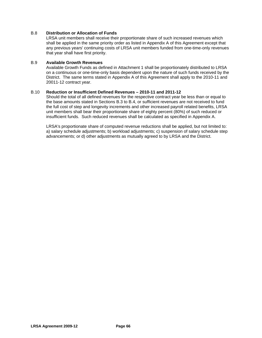## B.8 **Distribution or Allocation of Funds**

LRSA unit members shall receive their proportionate share of such increased revenues which shall be applied in the same priority order as listed in Appendix A of this Agreement except that any previous years' continuing costs of LRSA unit members funded from one-time-only revenues that year shall have first priority.

## B.9 **Available Growth Revenues**

Available Growth Funds as defined in Attachment 1 shall be proportionately distributed to LRSA on a continuous or one-time-only basis dependent upon the nature of such funds received by the District. The same terms stated in Appendix A of this Agreement shall apply to the 2010-11 and 20011-12 contract year.

## B.10 **Reduction or Insufficient Defined Revenues – 2010-11 and 2011-12**

Should the total of all defined revenues for the respective contract year be less than or equal to the base amounts stated in Sections B.3 to B.4, or sufficient revenues are not received to fund the full cost of step and longevity increments and other increased payroll related benefits, LRSA unit members shall bear their proportionate share of eighty percent (80%) of such reduced or insufficient funds. Such reduced revenues shall be calculated as specified in Appendix A.

LRSA's proportionate share of computed revenue reductions shall be applied, but not limited to: a) salary schedule adjustments; b) workload adjustments; c) suspension of salary schedule step advancements; or d) other adjustments as mutually agreed to by LRSA and the District.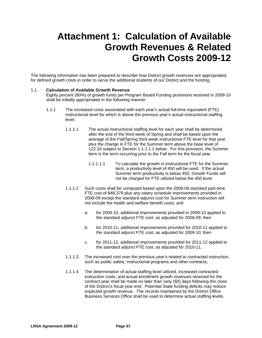## **Attachment 1: Calculation of Available Growth Revenues & Related Growth Costs 2009-12**

The following information has been prepared to describe how District growth revenues are appropriated for defined growth costs in order to serve the additional students of our District and the funding.

## 1.1 **Calculation of Available Growth Revenue**

Eighty percent (80%) of growth funds per Program Based Funding provisions received in 2009-10 shall be initially appropriated in the following manner:

- 1.1.1 The increased costs associated with each year's actual full-time equivalent (FTE) instructional level for which is above the previous year's actual instructional staffing level.
	- 1.1.1.1 The actual instructional staffing level for each year shall be determined after the end of the third week of Spring and shall be based upon the average of the Fall/Spring third week instructional FTE level for that year plus the change in FTE for the Summer term above the base level of 122.34 subject to Section 1.1.1.1.1 below. For this provision, the Summer term is the term occurring prior to the Fall term for the fiscal year.
		- 1.1.1.1.1 To calculate the growth in instructional FTE for the Summer term, a productivity level of 450 will be used. If the actual Summer term productivity is below 450, Growth Funds will not be charged for FTE utilized below the 450 level.
	- 1.1.1.2 Such costs shall be computed based upon the 2008-09 standard part-time FTE cost of \$48,379 plus any salary schedule improvements provided in 2008-09 except the standard adjunct cost for Summer term instruction will not include the health and welfare benefit costs; and
		- a. for 2009-10, additional improvements provided in 2009-10 applied to the standard adjunct FTE cost, as adjusted for 2008-09; then
		- b. for 2010-11, additional improvements provided for 2010-11 applied to the standard adjunct FTE cost, as adjusted for 2009-10; then
		- c. for 2011-12, additional improvements provided for 2011-12 applied to the standard adjunct FTE cost, as adjusted for 2010-11.
	- 1.1.1.3 The increased cost over the previous year's related to contracted instruction, such as public safety, instructional programs and other contracts;
	- 1.1.1.4 The determination of actual staffing level utilized, increased contracted instruction costs, and actual enrollment growth revenues received for the contract year shall be made no later than sixty (60) days following the close of the District's fiscal year end. Potential State funding deficits may reduce expected growth revenue.The records maintained by the District Office Business Services Office shall be used to determine actual staffing levels.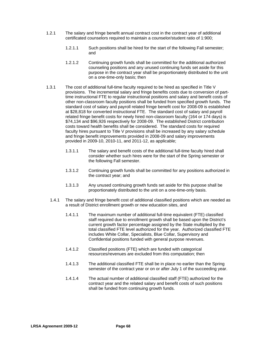- 1.2.1 The salary and fringe benefit annual contract cost in the contract year of additional certificated counselors required to maintain a counselor/student ratio of 1:900;
	- 1.2.1.1 Such positions shall be hired for the start of the following Fall semester; and
	- 1.2.1.2 Continuing growth funds shall be committed for the additional authorized counseling positions and any unused continuing funds set aside for this purpose in the contract year shall be proportionately distributed to the unit on a one-time-only basis; then
- 1.3.1 The cost of additional full-time faculty required to be hired as specified in Title V provisions.The incremental salary and fringe benefits costs due to conversion of parttime instructional FTE to regular instructional positions and salary and benefit costs of other non-classroom faculty positions shall be funded from specified growth funds. The standard cost of salary and payroll related fringe benefit cost for 2008-09 is established at \$28,818 for converted instructional FTE. The standard cost of salary and payroll related fringe benefit costs for newly hired non-classroom faculty (164 or 174 days) is \$74,134 and \$96,926 respectively for 2008-09.The established District contribution costs toward health benefits shall be considered. The standard costs for required faculty hires pursuant to Title V provisions shall be increased by any salary schedule and fringe benefit improvements provided in 2008-09 and salary improvements provided in 2009-10, 2010-11, and 2011-12, as applicable;
	- 1.3.1.1 The salary and benefit costs of the additional full-time faculty hired shall consider whether such hires were for the start of the Spring semester or the following Fall semester.
	- 1.3.1.2 Continuing growth funds shall be committed for any positions authorized in the contract year; and
	- 1.3.1.3 Any unused continuing growth funds set aside for this purpose shall be proportionately distributed to the unit on a one-time-only basis.
	- 1.4.1 The salary and fringe benefit cost of additional classified positions which are needed as a result of District enrollment growth or new education sites, and
		- 1.4.1.1 The maximum number of additional full-time equivalent (FTE) classified staff required due to enrollment growth shall be based upon the District's current growth factor percentage assigned by the State multiplied by the total classified FTE level authorized for the year. Authorized classified FTE includes White Collar, Specialists, Blue Collar, Supervisory and Confidential positions funded with general purpose revenues.
		- 1.4.1.2 Classified positions (FTE) which are funded with categorical resources/revenues are excluded from this computation; then
		- 1.4.1.3 The additional classified FTE shall be in place no earlier than the Spring semester of the contract year or on or after July 1 of the succeeding year.
		- 1.4.1.4 The actual number of additional classified staff (FTE) authorized for the contract year and the related salary and benefit costs of such positions shall be funded from continuing growth funds.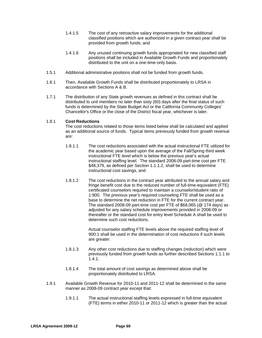- 1.4.1.5 The cost of any retroactive salary improvements for the additional classified positions which are authorized in a given contract year shall be provided from growth funds; and
- 1.4.1.6 Any unused continuing growth funds appropriated for new classified staff positions shall be included in Available Growth Funds and proportionately distributed to the unit on a one-time-only basis.
- 1.5.1 Additional administrative positions shall not be funded from growth funds.
- 1.6.1 Then*,* Available Growth Funds shall be distributed proportionately to LRSA in accordance with Sections A & B.
- 1.7.1 The distribution of any State growth revenues as defined in this contract shall be distributed to unit members no later than sixty (60) days after the final status of such funds is determined by the State Budget Act or the California Community Colleges' Chancellor's Office or the close of the District fiscal year, whichever is later.

## 1.8.1 **Cost Reductions**

The cost reductions related to those items listed below shall be calculated and applied as an additional source of funds. Typical items previously funded from growth revenue are:

- 1.8.1.1 The cost reductions associated with the actual instructional FTE utilized for the academic year based upon the average of the Fall/Spring third week instructional FTE level which is below the previous year's actual instructional staffing level. The standard 2008-09 part-time cost per FTE \$48,379, as defined per Section 1.1.1.2, shall be used to determine instructional cost savings, and
- 1.8.1.2 The cost reductions in the contract year attributed to the annual salary and fringe benefit cost due to the reduced number of full-time-equivalent (FTE) certificated counselors required to maintain a counselor/student ratio of 1:900. The previous year's required counseling FTE shall be used as a base to determine the net reduction in FTE for the current contract year. The standard 2008-09 part-time cost per FTE of \$68,065 (@ 174 days) as adjusted for any salary schedule improvements provided in 2008-09 or thereafter or the standard cost for entry level Schedule A shall be used to determine such cost reductions.

Actual counselor staffing FTE levels above the required staffing level of 900:1 shall be used in the determination of cost reductions if such levels are greater.

- 1.8.1.3 Any other cost reductions due to staffing changes (reduction) which were previously funded from growth funds as further described Sections 1.1.1 to 1.4.1.
- 1.8.1.4 The total amount of cost savings as determined above shall be proportionately distributed to LRSA.
- 1.9.1 Available Growth Revenue for 2010-11 and 2011-12 shall be determined in the same manner as 2008-09 contract year except that:
	- 1.9.1.1 The actual instructional staffing levels expressed in full-time equivalent (FTE) terms in either 2010-11 or 2011-12 which is greater than the actual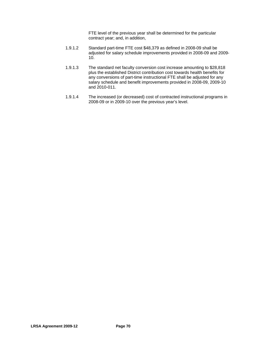FTE level of the previous year shall be determined for the particular contract year; and, in addition,

- 1.9.1.2 Standard part-time FTE cost \$48,379 as defined in 2008-09 shall be adjusted for salary schedule improvements provided in 2008-09 and 2009- 10.
- 1.9.1.3 The standard net faculty conversion cost increase amounting to \$28,818 plus the established District contribution cost towards health benefits for any conversions of part-time instructional FTE shall be adjusted for any salary schedule and benefit improvements provided in 2008-09, 2009-10 and 2010-011.
- 1.9.1.4 The increased (or decreased) cost of contracted instructional programs in 2008-09 or in 2009-10 over the previous year's level.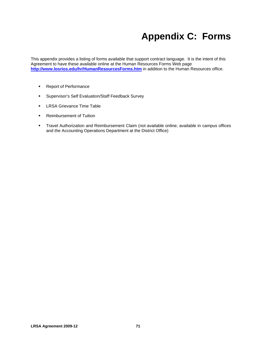## **Appendix C: Forms**

This appendix provides a listing of forms available that support contract language. It is the intent of this Agreement to have these available online at the Human Resources Forms Web page http://www.losrios.edu/hr/HumanResourcesForms.htm in addition to the Human Resources office.

- **Report of Performance**
- **Supervisor's Self Evaluation/Staff Feedback Survey**
- **LRSA Grievance Time Table**
- **Reimbursement of Tuition**
- **Travel Authorization and Reimbursement Claim (not available online; available in campus offices** and the Accounting Operations Department at the District Office)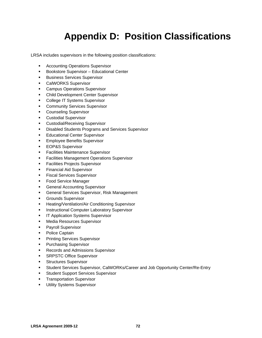# **Appendix D: Position Classifications**

LRSA includes supervisors in the following position classifications:

- **Accounting Operations Supervisor**
- **Bookstore Supervisor Educational Center**
- **Business Services Supervisor**
- **CalWORKS Supervisor**
- **Campus Operations Supervisor**
- **EXEC** Child Development Center Supervisor
- **College IT Systems Supervisor**
- **Community Services Supervisor**
- **Counseling Supervisor**
- Custodial Supervisor
- **EXECUST CUSTODIAL/Receiving Supervisor**
- **Disabled Students Programs and Services Supervisor**
- **Educational Center Supervisor**
- **Employee Benefits Supervisor**
- **EOP&S Supervisor**
- **Facilities Maintenance Supervisor**
- **Facilities Management Operations Supervisor**
- **Facilities Projects Supervisor**
- **Financial Aid Supervisor**
- **Fiscal Services Supervisor**
- **Food Service Manager**
- **General Accounting Supervisor**
- **General Services Supervisor, Risk Management**
- **Grounds Supervisor**
- **-** Heating/Ventilation/Air Conditioning Supervisor
- **Instructional Computer Laboratory Supervisor**
- **IT Application Systems Supervisor**
- **Media Resources Supervisor**
- **Payroll Supervisor**
- Police Captain
- **Printing Services Supervisor**
- **Purchasing Supervisor**
- **Records and Admissions Supervisor**
- **SRPSTC Office Supervisor**
- **Structures Supervisor**
- **Student Services Supervisor, CalWORKs/Career and Job Opportunity Center/Re-Entry**
- **Student Support Services Supervisor**
- **Transportation Supervisor**
- **Utility Systems Supervisor**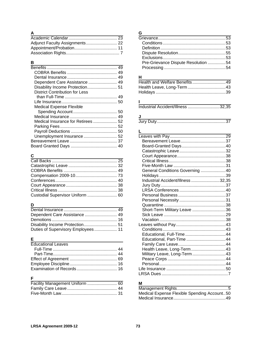#### **A**

## **B**

| the control of the control of the control of the control of the control of the control of the control of the control of the control of the control of the control of the control of the control of the control of the control |  |
|-------------------------------------------------------------------------------------------------------------------------------------------------------------------------------------------------------------------------------|--|
|                                                                                                                                                                                                                               |  |
|                                                                                                                                                                                                                               |  |
|                                                                                                                                                                                                                               |  |
| Dependent Care Assistance  49                                                                                                                                                                                                 |  |
|                                                                                                                                                                                                                               |  |
| <b>District Contribution for Less</b>                                                                                                                                                                                         |  |
|                                                                                                                                                                                                                               |  |
|                                                                                                                                                                                                                               |  |
| <b>Medical Expense Flexible</b>                                                                                                                                                                                               |  |
|                                                                                                                                                                                                                               |  |
|                                                                                                                                                                                                                               |  |
| Medical Insurance for Retirees  52                                                                                                                                                                                            |  |
|                                                                                                                                                                                                                               |  |
|                                                                                                                                                                                                                               |  |
| Unemployment Insurance  52                                                                                                                                                                                                    |  |
|                                                                                                                                                                                                                               |  |
|                                                                                                                                                                                                                               |  |
|                                                                                                                                                                                                                               |  |

## **C**

| Custodial Supervisor Uniform  60 |  |
|----------------------------------|--|

#### **D**

| Dependent Care Assistance  49      |  |
|------------------------------------|--|
|                                    |  |
|                                    |  |
| Duties of Supervisory Employees 11 |  |

## **E**

| <b>Educational Leaves</b> |  |
|---------------------------|--|
|                           |  |
|                           |  |
|                           |  |
|                           |  |
|                           |  |

## **F**

| Facility Management Uniform  60 |  |
|---------------------------------|--|
|                                 |  |
|                                 |  |

## **G**

| Pre-Grievance Dispute Resolution 54 |  |
|-------------------------------------|--|
|                                     |  |
|                                     |  |

#### **H**

#### **I**

Industrial Accident/Illness ..............................32,35

## **J**

| u |  |
|---|--|
|   |  |

## **L L L L L L L L L L**

| General Conditions Governing 40   |
|-----------------------------------|
|                                   |
| Industrial Accident/Illness 32,35 |
|                                   |
|                                   |
|                                   |
|                                   |
|                                   |
| Short-Term Military Leave 36      |
|                                   |
|                                   |
|                                   |
|                                   |
|                                   |
| Educational, Part-Time 44         |
|                                   |
| Health Leave, Long-Term43         |
| Military Leave, Long-Term43       |
|                                   |
|                                   |
|                                   |
|                                   |
|                                   |

#### **M**

| Medical Expense Flexible Spending Account50 |  |
|---------------------------------------------|--|
|                                             |  |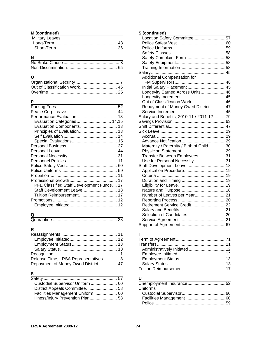#### **M (continued)**

| <b>Military Leaves</b> |  |
|------------------------|--|
|                        |  |
|                        |  |

## **N**

## **O**

#### **P**

| Evaluation Categories 14,15               |  |
|-------------------------------------------|--|
| Evaluation Components 13                  |  |
| Principles of Evaluation 13               |  |
|                                           |  |
|                                           |  |
|                                           |  |
|                                           |  |
|                                           |  |
|                                           |  |
|                                           |  |
|                                           |  |
|                                           |  |
|                                           |  |
| PFE Classified Staff Development Funds 17 |  |
| Staff Development Leave 18                |  |
| Tuition Reimbursement 17                  |  |
|                                           |  |
|                                           |  |
|                                           |  |

## **Q**

|--|--|

## **R**

| Release Time, LRSA Representatives  8 |  |
|---------------------------------------|--|
| Repayment of Money Owed District  47  |  |

## $\frac{S}{C}$

| S                                 |  |
|-----------------------------------|--|
|                                   |  |
| Custodial Supervisor Uniform  60  |  |
|                                   |  |
| Facilities Management Uniform  60 |  |
| Illness/Injury Prevention Plan 58 |  |

## **S (continued)**

| Location Safety Committee57               |  |
|-------------------------------------------|--|
|                                           |  |
|                                           |  |
|                                           |  |
|                                           |  |
|                                           |  |
|                                           |  |
|                                           |  |
| <b>Additional Compensation for</b>        |  |
|                                           |  |
| Initial Salary Placement  45              |  |
| Longevity Earned Across Units46           |  |
|                                           |  |
| Out of Classification Work 46             |  |
| Repayment of Money Owed District  47      |  |
|                                           |  |
| Salary and Benefits, 2010-11 / 2011-12 79 |  |
|                                           |  |
|                                           |  |
|                                           |  |
|                                           |  |
|                                           |  |
| Maternity / Paternity / Birth of Child 30 |  |
|                                           |  |
| Transfer Between Employees31              |  |
| Use for Personal Necessity 31             |  |
|                                           |  |
|                                           |  |
|                                           |  |
|                                           |  |
|                                           |  |
|                                           |  |
| Number of Leaves per Year21               |  |
|                                           |  |
| Retirement Service Credit22               |  |
|                                           |  |
|                                           |  |
|                                           |  |
|                                           |  |

#### **T**

| Administratively Initiated 12 |  |
|-------------------------------|--|
|                               |  |
|                               |  |
|                               |  |
|                               |  |

## **U**

| Uniforms |  |
|----------|--|
|          |  |
|          |  |
|          |  |